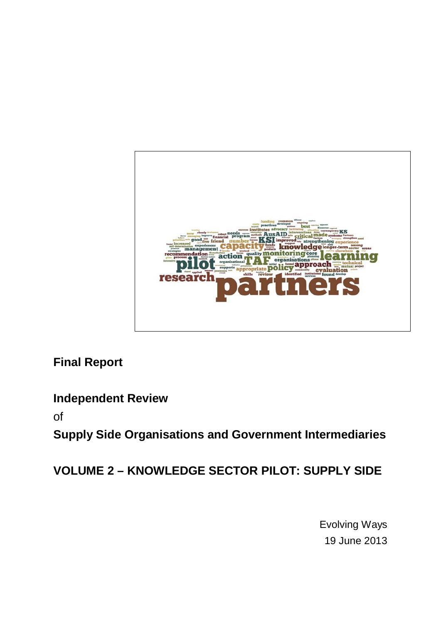

**Final Report** 

**Independent Review** 

of

**Supply Side Organisations and Government Intermediaries** 

**VOLUME 2 – KNOWLEDGE SECTOR PILOT: SUPPLY SIDE**

Evolving Ways 19 June 2013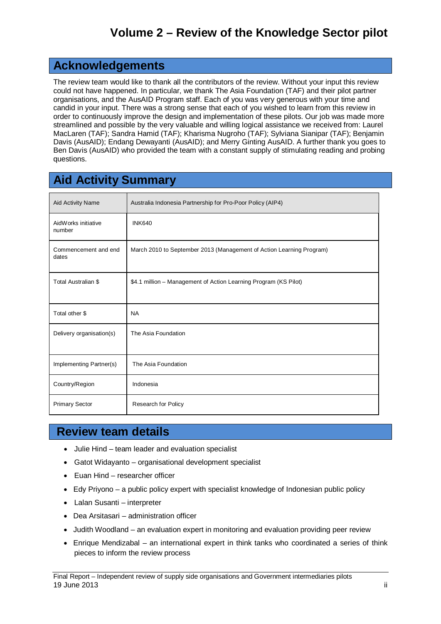### <span id="page-1-0"></span>**Acknowledgements**

The review team would like to thank all the contributors of the review. Without your input this review could not have happened. In particular, we thank The Asia Foundation (TAF) and their pilot partner organisations, and the AusAID Program staff. Each of you was very generous with your time and candid in your input. There was a strong sense that each of you wished to learn from this review in order to continuously improve the design and implementation of these pilots. Our job was made more streamlined and possible by the very valuable and willing logical assistance we received from: Laurel MacLaren (TAF); Sandra Hamid (TAF); Kharisma Nugroho (TAF); Sylviana Sianipar (TAF); Benjamin Davis (AusAID); Endang Dewayanti (AusAID); and Merry Ginting AusAID. A further thank you goes to Ben Davis (AusAID) who provided the team with a constant supply of stimulating reading and probing questions.

### <span id="page-1-1"></span>**Aid Activity Summary**

| Aid Activity Name             | Australia Indonesia Partnership for Pro-Poor Policy (AIP4)           |
|-------------------------------|----------------------------------------------------------------------|
| AidWorks initiative<br>number | <b>INK640</b>                                                        |
| Commencement and end<br>dates | March 2010 to September 2013 (Management of Action Learning Program) |
| Total Australian \$           | \$4.1 million - Management of Action Learning Program (KS Pilot)     |
| Total other \$                | <b>NA</b>                                                            |
| Delivery organisation(s)      | The Asia Foundation                                                  |
| Implementing Partner(s)       | The Asia Foundation                                                  |
| Country/Region                | Indonesia                                                            |
| <b>Primary Sector</b>         | Research for Policy                                                  |

### <span id="page-1-2"></span>**Review team details**

- Julie Hind team leader and evaluation specialist
- Gatot Widayanto organisational development specialist
- Euan Hind researcher officer
- Edy Priyono a public policy expert with specialist knowledge of Indonesian public policy
- Lalan Susanti interpreter
- Dea Arsitasari administration officer
- Judith Woodland an evaluation expert in monitoring and evaluation providing peer review
- Enrique Mendizabal an international expert in think tanks who coordinated a series of think pieces to inform the review process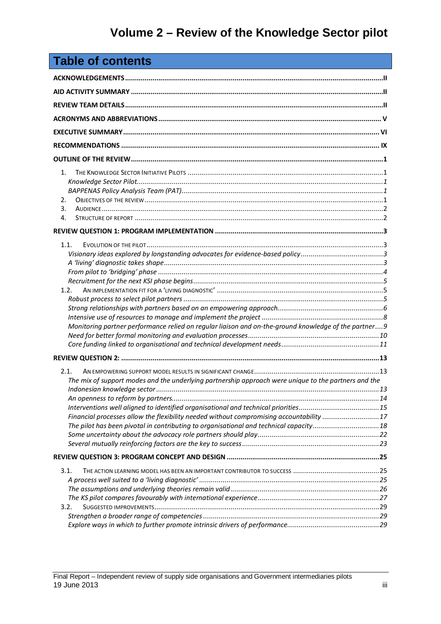## **Table of contents**

| 1.<br>2.<br>3.<br>4.                                                                                                                                                                                                                                                                              |  |
|---------------------------------------------------------------------------------------------------------------------------------------------------------------------------------------------------------------------------------------------------------------------------------------------------|--|
| 1.1.<br>Visionary ideas explored by longstanding advocates for evidence-based policy3<br>1.2.<br>Monitoring partner performance relied on regular liaison and on-the-ground knowledge of the partner9                                                                                             |  |
|                                                                                                                                                                                                                                                                                                   |  |
| 2.1.<br>The mix of support modes and the underlying partnership approach were unique to the partners and the<br>Financial processes allow the flexibility needed without compromising accountability 17<br>The pilot has been pivotal in contributing to organisational and technical capacity 18 |  |
|                                                                                                                                                                                                                                                                                                   |  |
| 3.1.<br>3.2.                                                                                                                                                                                                                                                                                      |  |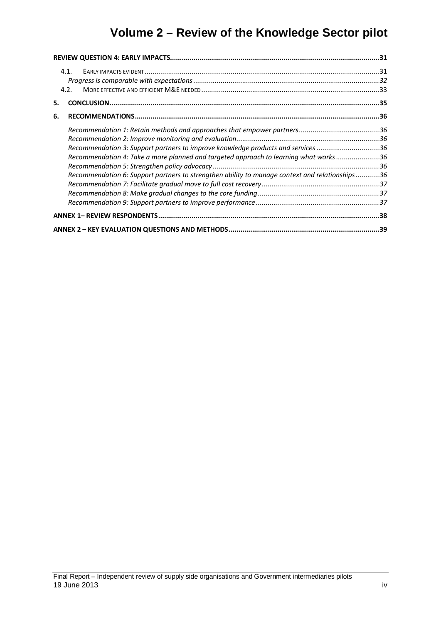|    | 4.1.<br>4.2.                                                                                   |  |
|----|------------------------------------------------------------------------------------------------|--|
| 5. |                                                                                                |  |
| 6. |                                                                                                |  |
|    |                                                                                                |  |
|    |                                                                                                |  |
|    | Recommendation 3: Support partners to improve knowledge products and services 36               |  |
|    | Recommendation 4: Take a more planned and targeted approach to learning what works36           |  |
|    |                                                                                                |  |
|    | Recommendation 6: Support partners to strengthen ability to manage context and relationships36 |  |
|    |                                                                                                |  |
|    |                                                                                                |  |
|    |                                                                                                |  |
|    |                                                                                                |  |
|    |                                                                                                |  |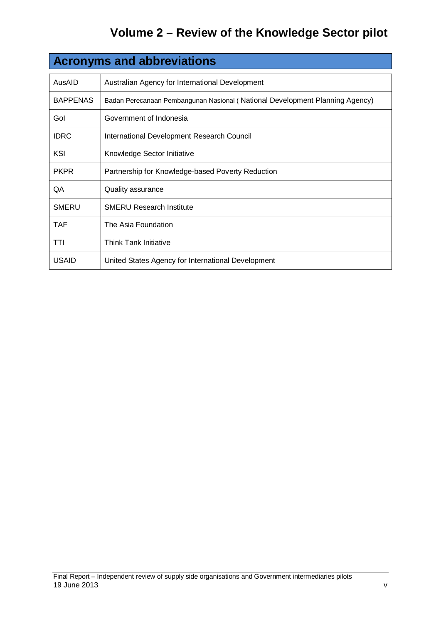<span id="page-4-0"></span>

|                 | <b>Acronyms and abbreviations</b>                                            |  |  |  |
|-----------------|------------------------------------------------------------------------------|--|--|--|
| AusAID          | Australian Agency for International Development                              |  |  |  |
| <b>BAPPENAS</b> | Badan Perecanaan Pembangunan Nasional (National Development Planning Agency) |  |  |  |
| Gol             | Government of Indonesia                                                      |  |  |  |
| <b>IDRC</b>     | International Development Research Council                                   |  |  |  |
| KSI             | Knowledge Sector Initiative                                                  |  |  |  |
| <b>PKPR</b>     | Partnership for Knowledge-based Poverty Reduction                            |  |  |  |
| QA              | Quality assurance                                                            |  |  |  |
| <b>SMERU</b>    | <b>SMERU Research Institute</b>                                              |  |  |  |
| TAF             | The Asia Foundation                                                          |  |  |  |
| TTI             | <b>Think Tank Initiative</b>                                                 |  |  |  |
| <b>USAID</b>    | United States Agency for International Development                           |  |  |  |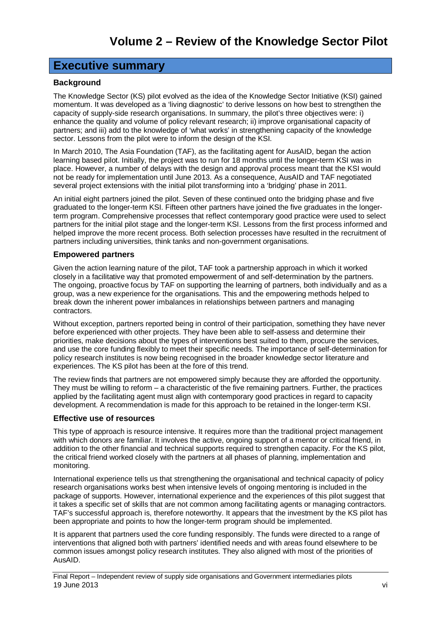### <span id="page-5-0"></span>**Executive summary**

### **Background**

The Knowledge Sector (KS) pilot evolved as the idea of the Knowledge Sector Initiative (KSI) gained momentum. It was developed as a 'living diagnostic' to derive lessons on how best to strengthen the capacity of supply-side research organisations. In summary, the pilot's three objectives were: i) enhance the quality and volume of policy relevant research; ii) improve organisational capacity of partners; and iii) add to the knowledge of 'what works' in strengthening capacity of the knowledge sector. Lessons from the pilot were to inform the design of the KSI.

In March 2010, The Asia Foundation (TAF), as the facilitating agent for AusAID, began the action learning based pilot. Initially, the project was to run for 18 months until the longer-term KSI was in place. However, a number of delays with the design and approval process meant that the KSI would not be ready for implementation until June 2013. As a consequence, AusAID and TAF negotiated several project extensions with the initial pilot transforming into a 'bridging' phase in 2011.

An initial eight partners joined the pilot. Seven of these continued onto the bridging phase and five graduated to the longer-term KSI. Fifteen other partners have joined the five graduates in the longerterm program. Comprehensive processes that reflect contemporary good practice were used to select partners for the initial pilot stage and the longer-term KSI. Lessons from the first process informed and helped improve the more recent process. Both selection processes have resulted in the recruitment of partners including universities, think tanks and non-government organisations.

### **Empowered partners**

Given the action learning nature of the pilot, TAF took a partnership approach in which it worked closely in a facilitative way that promoted empowerment of and self-determination by the partners. The ongoing, proactive focus by TAF on supporting the learning of partners, both individually and as a group, was a new experience for the organisations. This and the empowering methods helped to break down the inherent power imbalances in relationships between partners and managing contractors.

Without exception, partners reported being in control of their participation, something they have never before experienced with other projects. They have been able to self-assess and determine their priorities, make decisions about the types of interventions best suited to them, procure the services, and use the core funding flexibly to meet their specific needs. The importance of self-determination for policy research institutes is now being recognised in the broader knowledge sector literature and experiences. The KS pilot has been at the fore of this trend.

The review finds that partners are not empowered simply because they are afforded the opportunity. They must be willing to reform – a characteristic of the five remaining partners. Further, the practices applied by the facilitating agent must align with contemporary good practices in regard to capacity development. A recommendation is made for this approach to be retained in the longer-term KSI.

### **Effective use of resources**

This type of approach is resource intensive. It requires more than the traditional project management with which donors are familiar. It involves the active, ongoing support of a mentor or critical friend, in addition to the other financial and technical supports required to strengthen capacity. For the KS pilot, the critical friend worked closely with the partners at all phases of planning, implementation and monitoring.

International experience tells us that strengthening the organisational and technical capacity of policy research organisations works best when intensive levels of ongoing mentoring is included in the package of supports. However, international experience and the experiences of this pilot suggest that it takes a specific set of skills that are not common among facilitating agents or managing contractors. TAF's successful approach is, therefore noteworthy. It appears that the investment by the KS pilot has been appropriate and points to how the longer-term program should be implemented.

It is apparent that partners used the core funding responsibly. The funds were directed to a range of interventions that aligned both with partners' identified needs and with areas found elsewhere to be common issues amongst policy research institutes. They also aligned with most of the priorities of AusAID.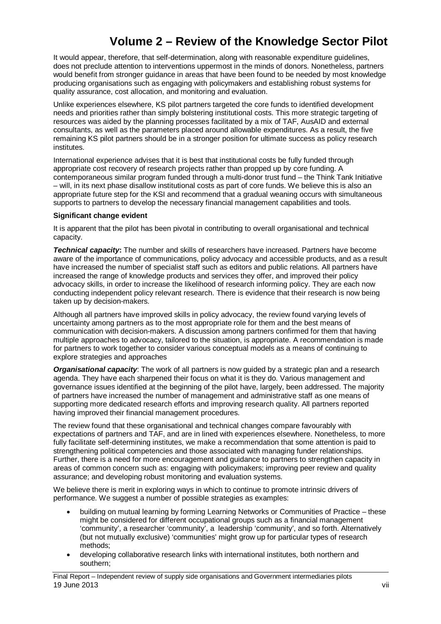It would appear, therefore, that self-determination, along with reasonable expenditure guidelines, does not preclude attention to interventions uppermost in the minds of donors. Nonetheless, partners would benefit from stronger guidance in areas that have been found to be needed by most knowledge producing organisations such as engaging with policymakers and establishing robust systems for quality assurance, cost allocation, and monitoring and evaluation.

Unlike experiences elsewhere, KS pilot partners targeted the core funds to identified development needs and priorities rather than simply bolstering institutional costs. This more strategic targeting of resources was aided by the planning processes facilitated by a mix of TAF, AusAID and external consultants, as well as the parameters placed around allowable expenditures. As a result, the five remaining KS pilot partners should be in a stronger position for ultimate success as policy research institutes.

International experience advises that it is best that institutional costs be fully funded through appropriate cost recovery of research projects rather than propped up by core funding. A contemporaneous similar program funded through a multi-donor trust fund – the Think Tank Initiative – will, in its next phase disallow institutional costs as part of core funds. We believe this is also an appropriate future step for the KSI and recommend that a gradual weaning occurs with simultaneous supports to partners to develop the necessary financial management capabilities and tools.

### **Significant change evident**

It is apparent that the pilot has been pivotal in contributing to overall organisational and technical capacity.

*Technical capacity***:** The number and skills of researchers have increased. Partners have become aware of the importance of communications, policy advocacy and accessible products, and as a result have increased the number of specialist staff such as editors and public relations. All partners have increased the range of knowledge products and services they offer, and improved their policy advocacy skills, in order to increase the likelihood of research informing policy. They are each now conducting independent policy relevant research. There is evidence that their research is now being taken up by decision-makers.

Although all partners have improved skills in policy advocacy, the review found varying levels of uncertainty among partners as to the most appropriate role for them and the best means of communication with decision-makers. A discussion among partners confirmed for them that having multiple approaches to advocacy, tailored to the situation, is appropriate. A recommendation is made for partners to work together to consider various conceptual models as a means of continuing to explore strategies and approaches

*Organisational capacity*: The work of all partners is now guided by a strategic plan and a research agenda. They have each sharpened their focus on what it is they do. Various management and governance issues identified at the beginning of the pilot have, largely, been addressed. The majority of partners have increased the number of management and administrative staff as one means of supporting more dedicated research efforts and improving research quality. All partners reported having improved their financial management procedures.

The review found that these organisational and technical changes compare favourably with expectations of partners and TAF, and are in lined with experiences elsewhere. Nonetheless, to more fully facilitate self-determining institutes, we make a recommendation that some attention is paid to strengthening political competencies and those associated with managing funder relationships. Further, there is a need for more encouragement and guidance to partners to strengthen capacity in areas of common concern such as: engaging with policymakers; improving peer review and quality assurance; and developing robust monitoring and evaluation systems.

We believe there is merit in exploring ways in which to continue to promote intrinsic drivers of performance. We suggest a number of possible strategies as examples:

- building on mutual learning by forming Learning Networks or Communities of Practice these might be considered for different occupational groups such as a financial management 'community', a researcher 'community', a leadership 'community', and so forth. Alternatively (but not mutually exclusive) 'communities' might grow up for particular types of research methods;
- developing collaborative research links with international institutes, both northern and southern;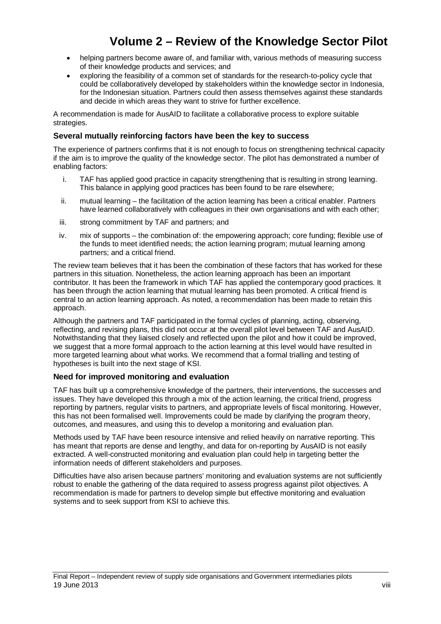- helping partners become aware of, and familiar with, various methods of measuring success of their knowledge products and services; and
- exploring the feasibility of a common set of standards for the research-to-policy cycle that could be collaboratively developed by stakeholders within the knowledge sector in Indonesia, for the Indonesian situation. Partners could then assess themselves against these standards and decide in which areas they want to strive for further excellence.

A recommendation is made for AusAID to facilitate a collaborative process to explore suitable strategies.

### **Several mutually reinforcing factors have been the key to success**

The experience of partners confirms that it is not enough to focus on strengthening technical capacity if the aim is to improve the quality of the knowledge sector. The pilot has demonstrated a number of enabling factors:

- i. TAF has applied good practice in capacity strengthening that is resulting in strong learning. This balance in applying good practices has been found to be rare elsewhere;
- ii. mutual learning the facilitation of the action learning has been a critical enabler. Partners have learned collaboratively with colleagues in their own organisations and with each other;
- iii. strong commitment by TAF and partners; and
- iv. mix of supports the combination of: the empowering approach; core funding; flexible use of the funds to meet identified needs; the action learning program; mutual learning among partners; and a critical friend.

The review team believes that it has been the combination of these factors that has worked for these partners in this situation. Nonetheless, the action learning approach has been an important contributor. It has been the framework in which TAF has applied the contemporary good practices. It has been through the action learning that mutual learning has been promoted. A critical friend is central to an action learning approach. As noted, a recommendation has been made to retain this approach.

Although the partners and TAF participated in the formal cycles of planning, acting, observing, reflecting, and revising plans, this did not occur at the overall pilot level between TAF and AusAID. Notwithstanding that they liaised closely and reflected upon the pilot and how it could be improved, we suggest that a more formal approach to the action learning at this level would have resulted in more targeted learning about what works. We recommend that a formal trialling and testing of hypotheses is built into the next stage of KSI.

### **Need for improved monitoring and evaluation**

TAF has built up a comprehensive knowledge of the partners, their interventions, the successes and issues. They have developed this through a mix of the action learning, the critical friend, progress reporting by partners, regular visits to partners, and appropriate levels of fiscal monitoring. However, this has not been formalised well. Improvements could be made by clarifying the program theory, outcomes, and measures, and using this to develop a monitoring and evaluation plan.

Methods used by TAF have been resource intensive and relied heavily on narrative reporting. This has meant that reports are dense and lengthy, and data for on-reporting by AusAID is not easily extracted. A well-constructed monitoring and evaluation plan could help in targeting better the information needs of different stakeholders and purposes.

Difficulties have also arisen because partners' monitoring and evaluation systems are not sufficiently robust to enable the gathering of the data required to assess progress against pilot objectives. A recommendation is made for partners to develop simple but effective monitoring and evaluation systems and to seek support from KSI to achieve this.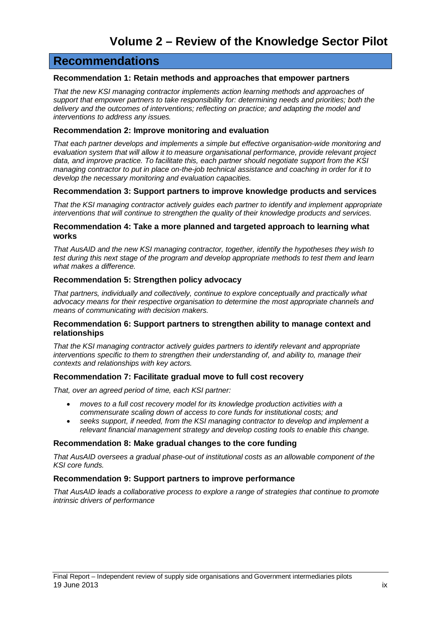### <span id="page-8-0"></span>**Recommendations**

### **Recommendation 1: Retain methods and approaches that empower partners**

*That the new KSI managing contractor implements action learning methods and approaches of support that empower partners to take responsibility for: determining needs and priorities; both the delivery and the outcomes of interventions; reflecting on practice; and adapting the model and interventions to address any issues.* 

### **Recommendation 2: Improve monitoring and evaluation**

*That each partner develops and implements a simple but effective organisation-wide monitoring and evaluation system that will allow it to measure organisational performance, provide relevant project data, and improve practice. To facilitate this, each partner should negotiate support from the KSI managing contractor to put in place on-the-job technical assistance and coaching in order for it to develop the necessary monitoring and evaluation capacities.* 

### **Recommendation 3: Support partners to improve knowledge products and services**

*That the KSI managing contractor actively guides each partner to identify and implement appropriate interventions that will continue to strengthen the quality of their knowledge products and services.* 

### **Recommendation 4: Take a more planned and targeted approach to learning what works**

*That AusAID and the new KSI managing contractor, together, identify the hypotheses they wish to test during this next stage of the program and develop appropriate methods to test them and learn what makes a difference.*

### **Recommendation 5: Strengthen policy advocacy**

*That partners, individually and collectively, continue to explore conceptually and practically what advocacy means for their respective organisation to determine the most appropriate channels and means of communicating with decision makers.* 

### **Recommendation 6: Support partners to strengthen ability to manage context and relationships**

*That the KSI managing contractor actively guides partners to identify relevant and appropriate interventions specific to them to strengthen their understanding of, and ability to, manage their contexts and relationships with key actors.* 

### **Recommendation 7: Facilitate gradual move to full cost recovery**

*That, over an agreed period of time, each KSI partner:*

- *moves to a full cost recovery model for its knowledge production activities with a commensurate scaling down of access to core funds for institutional costs; and*
- *seeks support, if needed, from the KSI managing contractor to develop and implement a relevant financial management strategy and develop costing tools to enable this change.*

### **Recommendation 8: Make gradual changes to the core funding**

*That AusAID oversees a gradual phase-out of institutional costs as an allowable component of the KSI core funds.* 

### **Recommendation 9: Support partners to improve performance**

*That AusAID leads a collaborative process to explore a range of strategies that continue to promote intrinsic drivers of performance*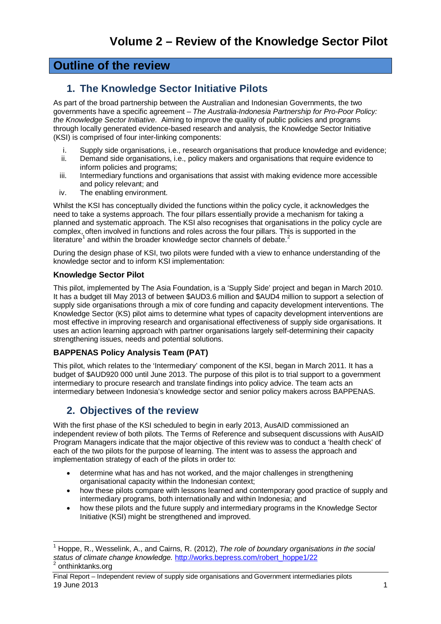### <span id="page-9-0"></span>**Outline of the review**

### <span id="page-9-1"></span>**1. The Knowledge Sector Initiative Pilots**

As part of the broad partnership between the Australian and Indonesian Governments, the two governments have a specific agreement – *The Australia-Indonesia Partnership for Pro-Poor Policy: the Knowledge Sector Initiative*. Aiming to improve the quality of public policies and programs through locally generated evidence-based research and analysis, the Knowledge Sector Initiative (KSI) is comprised of four inter-linking components:

- i. Supply side organisations, i.e., research organisations that produce knowledge and evidence;<br>ii. Demand side organisations, i.e., policy makers and organisations that require evidence to
- Demand side organisations, i.e., policy makers and organisations that require evidence to inform policies and programs;
- iii. Intermediary functions and organisations that assist with making evidence more accessible and policy relevant; and
- iv. The enabling environment.

Whilst the KSI has conceptually divided the functions within the policy cycle, it acknowledges the need to take a systems approach. The four pillars essentially provide a mechanism for taking a planned and systematic approach. The KSI also recognises that organisations in the policy cycle are complex, often involved in functions and roles across the four pillars. This is supported in the literature<sup>[1](#page-9-5)</sup> and within the broader knowledge sector channels of debate.<sup>[2](#page-9-6)</sup>

During the design phase of KSI, two pilots were funded with a view to enhance understanding of the knowledge sector and to inform KSI implementation:

### <span id="page-9-2"></span>**Knowledge Sector Pilot**

This pilot, implemented by The Asia Foundation, is a 'Supply Side' project and began in March 2010. It has a budget till May 2013 of between \$AUD3.6 million and \$AUD4 million to support a selection of supply side organisations through a mix of core funding and capacity development interventions. The Knowledge Sector (KS) pilot aims to determine what types of capacity development interventions are most effective in improving research and organisational effectiveness of supply side organisations. It uses an action learning approach with partner organisations largely self-determining their capacity strengthening issues, needs and potential solutions.

### <span id="page-9-3"></span>**BAPPENAS Policy Analysis Team (PAT)**

This pilot, which relates to the 'Intermediary' component of the KSI, began in March 2011. It has a budget of \$AUD920 000 until June 2013. The purpose of this pilot is to trial support to a government intermediary to procure research and translate findings into policy advice. The team acts an intermediary between Indonesia's knowledge sector and senior policy makers across BAPPENAS.

### <span id="page-9-4"></span>**2. Objectives of the review**

With the first phase of the KSI scheduled to begin in early 2013, AusAID commissioned an independent review of both pilots. The Terms of Reference and subsequent discussions with AusAID Program Managers indicate that the major objective of this review was to conduct a 'health check' of each of the two pilots for the purpose of learning. The intent was to assess the approach and implementation strategy of each of the pilots in order to:

- determine what has and has not worked, and the major challenges in strengthening organisational capacity within the Indonesian context;
- how these pilots compare with lessons learned and contemporary good practice of supply and intermediary programs, both internationally and within Indonesia; and
- how these pilots and the future supply and intermediary programs in the Knowledge Sector Initiative (KSI) might be strengthened and improved.

<span id="page-9-5"></span> <sup>1</sup> Hoppe, R., Wesselink, A., and Cairns, R. (2012), *The role of boundary organisations in the social status of climate change knowledge.* [http://works.bepress.com/robert\\_hoppe1/22](http://works.bepress.com/robert_hoppe1/22) onthinktanks.org

<span id="page-9-6"></span>Final Report – Independent review of supply side organisations and Government intermediaries pilots 19 June 2013 1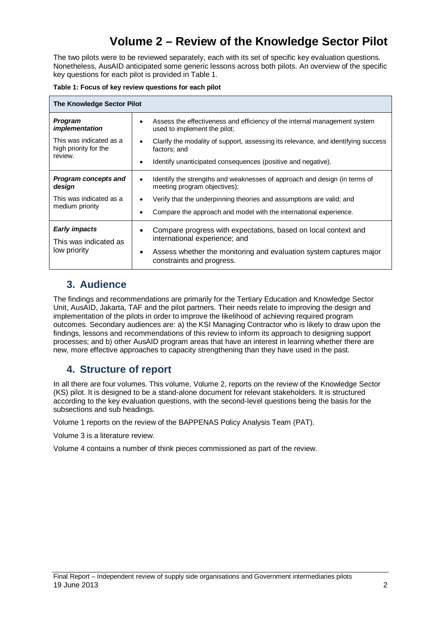The two pilots were to be reviewed separately, each with its set of specific key evaluation questions. Nonetheless, AusAID anticipated some generic lessons across both pilots. An overview of the specific key questions for each pilot is provided in Table 1.

|  |  | Table 1: Focus of key review questions for each pilot |  |  |
|--|--|-------------------------------------------------------|--|--|
|--|--|-------------------------------------------------------|--|--|

| <b>The Knowledge Sector Pilot</b>                |                                                                                                                |  |  |  |
|--------------------------------------------------|----------------------------------------------------------------------------------------------------------------|--|--|--|
| <b>Program</b><br><i>implementation</i>          | Assess the effectiveness and efficiency of the internal management system<br>used to implement the pilot;      |  |  |  |
| This was indicated as a<br>high priority for the | Clarify the modality of support, assessing its relevance, and identifying success<br>factors; and              |  |  |  |
| review.                                          | Identify unanticipated consequences (positive and negative).                                                   |  |  |  |
| <b>Program concepts and</b><br>design            | Identify the strengths and weaknesses of approach and design (in terms of<br>٠<br>meeting program objectives); |  |  |  |
| This was indicated as a                          | Verify that the underpinning theories and assumptions are valid; and                                           |  |  |  |
| medium priority                                  | Compare the approach and model with the international experience.                                              |  |  |  |
| <b>Early impacts</b><br>This was indicated as    | Compare progress with expectations, based on local context and<br>international experience; and                |  |  |  |
| low priority                                     | Assess whether the monitoring and evaluation system captures major<br>٠<br>constraints and progress.           |  |  |  |

### <span id="page-10-0"></span>**3. Audience**

The findings and recommendations are primarily for the Tertiary Education and Knowledge Sector Unit, AusAID, Jakarta, TAF and the pilot partners. Their needs relate to improving the design and implementation of the pilots in order to improve the likelihood of achieving required program outcomes. Secondary audiences are: a) the KSI Managing Contractor who is likely to draw upon the findings, lessons and recommendations of this review to inform its approach to designing support processes; and b) other AusAID program areas that have an interest in learning whether there are new, more effective approaches to capacity strengthening than they have used in the past.

### <span id="page-10-1"></span>**4. Structure of report**

In all there are four volumes. This volume, Volume 2, reports on the review of the Knowledge Sector (KS) pilot. It is designed to be a stand-alone document for relevant stakeholders. It is structured according to the key evaluation questions, with the second-level questions being the basis for the subsections and sub headings.

Volume 1 reports on the review of the BAPPENAS Policy Analysis Team (PAT).

Volume 3 is a literature review.

Volume 4 contains a number of think pieces commissioned as part of the review.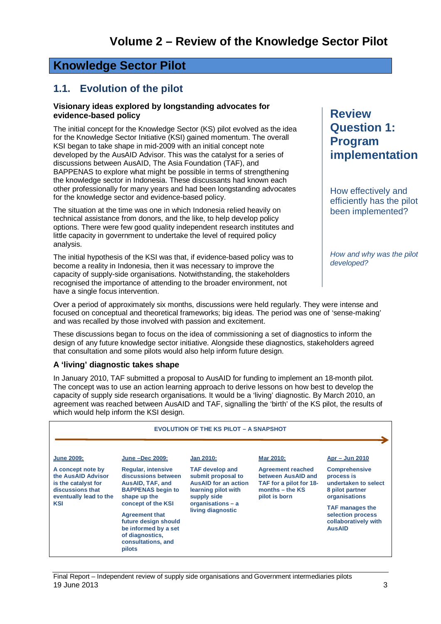### **Knowledge Sector Pilot**

### <span id="page-11-0"></span>**1.1. Evolution of the pilot**

### <span id="page-11-1"></span>**Visionary ideas explored by longstanding advocates for evidence-based policy**

The initial concept for the Knowledge Sector (KS) pilot evolved as the idea for the Knowledge Sector Initiative (KSI) gained momentum. The overall KSI began to take shape in mid-2009 with an initial concept note developed by the AusAID Advisor. This was the catalyst for a series of discussions between AusAID, The Asia Foundation (TAF), and BAPPENAS to explore what might be possible in terms of strengthening the knowledge sector in Indonesia. These discussants had known each other professionally for many years and had been longstanding advocates for the knowledge sector and evidence-based policy.

The situation at the time was one in which Indonesia relied heavily on technical assistance from donors, and the like, to help develop policy options. There were few good quality independent research institutes and little capacity in government to undertake the level of required policy analysis.

The initial hypothesis of the KSI was that, if evidence-based policy was to become a reality in Indonesia, then it was necessary to improve the capacity of supply-side organisations. Notwithstanding, the stakeholders recognised the importance of attending to the broader environment, not have a single focus intervention.

### **Review Question 1: Program implementation**

How effectively and efficiently has the pilot been implemented?

*How and why was the pilot developed?* 

Over a period of approximately six months, discussions were held regularly. They were intense and focused on conceptual and theoretical frameworks; big ideas. The period was one of 'sense-making' and was recalled by those involved with passion and excitement.

These discussions began to focus on the idea of commissioning a set of diagnostics to inform the design of any future knowledge sector initiative. Alongside these diagnostics, stakeholders agreed that consultation and some pilots would also help inform future design.

### <span id="page-11-2"></span>**A 'living' diagnostic takes shape**

In January 2010, TAF submitted a proposal to AusAID for funding to implement an 18-month pilot. The concept was to use an action learning approach to derive lessons on how best to develop the capacity of supply side research organisations. It would be a 'living' diagnostic. By March 2010, an agreement was reached between AusAID and TAF, signalling the 'birth' of the KS pilot, the results of which would help inform the KSI design.

|                                                                                                                                                 |                                                                                                                                                                                                                                                                                              | <b>EVOLUTION OF THE KS PILOT - A SNAPSHOT</b>                                                                                                                            |                                                                                                                              |                                                                                                                                                                                                          |
|-------------------------------------------------------------------------------------------------------------------------------------------------|----------------------------------------------------------------------------------------------------------------------------------------------------------------------------------------------------------------------------------------------------------------------------------------------|--------------------------------------------------------------------------------------------------------------------------------------------------------------------------|------------------------------------------------------------------------------------------------------------------------------|----------------------------------------------------------------------------------------------------------------------------------------------------------------------------------------------------------|
| <b>June 2009:</b><br>A concept note by<br>the AusAID Advisor<br>is the catalyst for<br>discussions that<br>eventually lead to the<br><b>KSI</b> | <b>June -Dec 2009:</b><br><b>Regular, intensive</b><br>discussions between<br>AusAID, TAF, and<br><b>BAPPENAS begin to</b><br>shape up the<br>concept of the KSI<br><b>Agreement that</b><br>future design should<br>be informed by a set<br>of diagnostics,<br>consultations, and<br>pilots | Jan 2010:<br><b>TAF develop and</b><br>submit proposal to<br><b>AusAID for an action</b><br>learning pilot with<br>supply side<br>organisations - a<br>living diagnostic | Mar 2010:<br><b>Agreement reached</b><br>between AusAID and<br>TAF for a pilot for 18-<br>months $-$ the KS<br>pilot is born | Apr - Jun 2010<br><b>Comprehensive</b><br>process is<br>undertaken to select<br>8 pilot partner<br>organisations<br><b>TAF manages the</b><br>selection process<br>collaboratively with<br><b>AusAID</b> |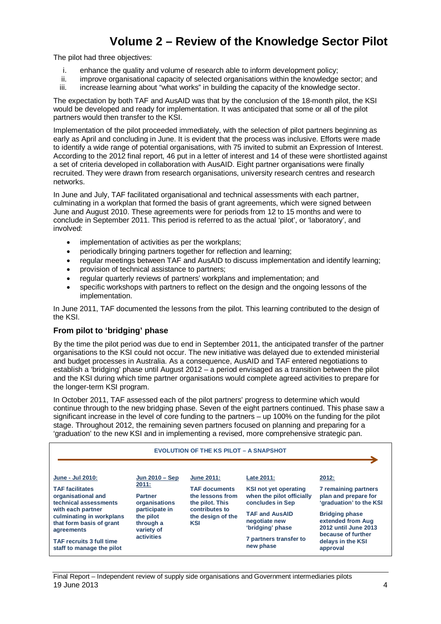The pilot had three objectives:

- i. enhance the quality and volume of research able to inform development policy;
- ii. improve organisational capacity of selected organisations within the knowledge sector; and<br>iii increase learning about "what works" in building the capacity of the knowledge sector
- increase learning about "what works" in building the capacity of the knowledge sector.

The expectation by both TAF and AusAID was that by the conclusion of the 18-month pilot, the KSI would be developed and ready for implementation. It was anticipated that some or all of the pilot partners would then transfer to the KSI.

Implementation of the pilot proceeded immediately, with the selection of pilot partners beginning as early as April and concluding in June. It is evident that the process was inclusive. Efforts were made to identify a wide range of potential organisations, with 75 invited to submit an Expression of Interest. According to the 2012 final report, 46 put in a letter of interest and 14 of these were shortlisted against a set of criteria developed in collaboration with AusAID. Eight partner organisations were finally recruited. They were drawn from research organisations, university research centres and research networks.

In June and July, TAF facilitated organisational and technical assessments with each partner, culminating in a workplan that formed the basis of grant agreements, which were signed between June and August 2010. These agreements were for periods from 12 to 15 months and were to conclude in September 2011. This period is referred to as the actual 'pilot', or 'laboratory', and involved:

- implementation of activities as per the workplans;
- periodically bringing partners together for reflection and learning;
- regular meetings between TAF and AusAID to discuss implementation and identify learning;
- provision of technical assistance to partners;
- regular quarterly reviews of partners' workplans and implementation; and
- specific workshops with partners to reflect on the design and the ongoing lessons of the implementation.

In June 2011, TAF documented the lessons from the pilot. This learning contributed to the design of the KSI.

### <span id="page-12-0"></span>**From pilot to 'bridging' phase**

By the time the pilot period was due to end in September 2011, the anticipated transfer of the partner organisations to the KSI could not occur. The new initiative was delayed due to extended ministerial and budget processes in Australia. As a consequence, AusAID and TAF entered negotiations to establish a 'bridging' phase until August 2012 – a period envisaged as a transition between the pilot and the KSI during which time partner organisations would complete agreed activities to prepare for the longer-term KSI program.

In October 2011, TAF assessed each of the pilot partners' progress to determine which would continue through to the new bridging phase. Seven of the eight partners continued. This phase saw a significant increase in the level of core funding to the partners – up 100% on the funding for the pilot stage. Throughout 2012, the remaining seven partners focused on planning and preparing for a 'graduation' to the new KSI and in implementing a revised, more comprehensive strategic pan.

|                                                                                            |                                                   | <b>EVOLUTION OF THE KS PILOT - A SNAPSHOT</b>                                 |                                                                               |                                                                         |
|--------------------------------------------------------------------------------------------|---------------------------------------------------|-------------------------------------------------------------------------------|-------------------------------------------------------------------------------|-------------------------------------------------------------------------|
| June - Jul 2010:                                                                           | Jun 2010 – Sep<br>2011:                           | <b>June 2011:</b>                                                             | Late 2011:                                                                    | 2012:                                                                   |
| <b>TAF facilitates</b><br>organisational and<br>technical assessments<br>with each partner | <b>Partner</b><br>organisations<br>participate in | <b>TAF documents</b><br>the lessons from<br>the pilot. This<br>contributes to | <b>KSI not yet operating</b><br>when the pilot officially<br>concludes in Sep | 7 remaining partners<br>plan and prepare for<br>'graduation' to the KSI |
| culminating in workplans<br>that form basis of grant<br>agreements                         | the pilot<br>through a<br>variety of              | the design of the<br><b>KSI</b>                                               | <b>TAF and AusAID</b><br>negotiate new<br>'bridging' phase                    | <b>Bridging phase</b><br>extended from Aug<br>2012 until June 2013      |
| <b>TAF recruits 3 full time</b><br>staff to manage the pilot                               | <b>activities</b>                                 |                                                                               | 7 partners transfer to<br>new phase                                           | because of further<br>delays in the KSI<br>approval                     |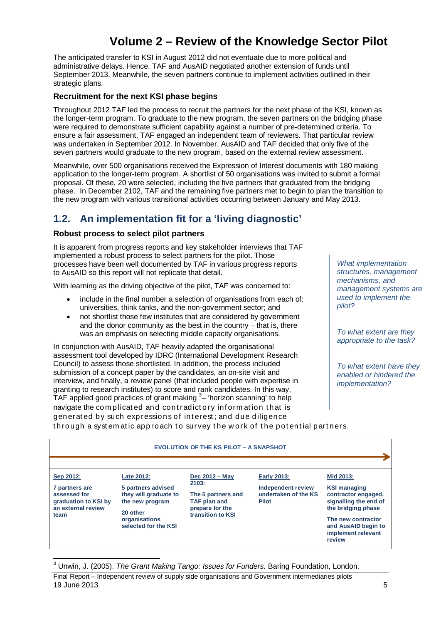The anticipated transfer to KSI in August 2012 did not eventuate due to more political and administrative delays. Hence, TAF and AusAID negotiated another extension of funds until September 2013. Meanwhile, the seven partners continue to implement activities outlined in their strategic plans.

### <span id="page-13-0"></span>**Recruitment for the next KSI phase begins**

Throughout 2012 TAF led the process to recruit the partners for the next phase of the KSI, known as the longer-term program. To graduate to the new program, the seven partners on the bridging phase were required to demonstrate sufficient capability against a number of pre-determined criteria. To ensure a fair assessment, TAF engaged an independent team of reviewers. That particular review was undertaken in September 2012. In November, AusAID and TAF decided that only five of the seven partners would graduate to the new program, based on the external review assessment.

Meanwhile, over 500 organisations received the Expression of Interest documents with 180 making application to the longer-term program. A shortlist of 50 organisations was invited to submit a formal proposal. Of these, 20 were selected, including the five partners that graduated from the bridging phase. In December 2102, TAF and the remaining five partners met to begin to plan the transition to the new program with various transitional activities occurring between January and May 2013.

### <span id="page-13-1"></span>**1.2. An implementation fit for a 'living diagnostic'**

### <span id="page-13-2"></span>**Robust process to select pilot partners**

It is apparent from progress reports and key stakeholder interviews that TAF implemented a robust process to select partners for the pilot. Those processes have been well documented by TAF in various progress reports to AusAID so this report will not replicate that detail.

With learning as the driving objective of the pilot, TAF was concerned to:

- include in the final number a selection of organisations from each of: universities, think tanks, and the non-government sector; and
- not shortlist those few institutes that are considered by government and the donor community as the best in the country – that is, there was an emphasis on selecting middle capacity organisations.

In conjunction with AusAID, TAF heavily adapted the organisational assessment tool developed by IDRC (International Development Research Council) to assess those shortlisted. In addition, the process included submission of a concept paper by the candidates, an on-site visit and interview, and finally, a review panel (that included people with expertise in granting to research institutes) to score and rank candidates. In this way, TAF applied good practices of grant making  $3 3-$  'horizon scanning' to help navigate the complicated and contradictory information that is generated by such expressions of interest; and due diligence

*What implementation structures, management mechanisms, and management systems are used to implement the pilot?* 

*To what extent are they appropriate to the task?*

*To what extent have they enabled or hindered the implementation?* 

through a system atic approach to survey the work of the potential partners.

|                                                            |                                                   | <b>EVOLUTION OF THE KS PILOT - A SNAPSHOT</b>                |                                                 |                                                                           |
|------------------------------------------------------------|---------------------------------------------------|--------------------------------------------------------------|-------------------------------------------------|---------------------------------------------------------------------------|
|                                                            |                                                   |                                                              |                                                 |                                                                           |
| Sep 2012:<br>7 partners are                                | Late 2012:<br>5 partners advised                  | Dec 2012 - May<br>2103:                                      | <b>Early 2013:</b><br><b>Independent review</b> | Mid 2013:<br><b>KSI managing</b>                                          |
| assessed for<br>graduation to KSI by<br>an external review | they will graduate to<br>the new program          | The 5 partners and<br><b>TAF plan and</b><br>prepare for the | undertaken of the KS<br><b>Pilot</b>            | contractor engaged,<br>signalling the end of<br>the bridging phase        |
| team                                                       | 20 other<br>organisations<br>selected for the KSI | transition to KSI                                            |                                                 | The new contractor<br>and AusAID begin to<br>implement relevant<br>review |

<span id="page-13-3"></span> <sup>3</sup> Unwin, J. (2005). *The Grant Making Tango: Issues for Funders.* Baring Foundation, London.

Final Report – Independent review of supply side organisations and Government intermediaries pilots 19 June 2013 5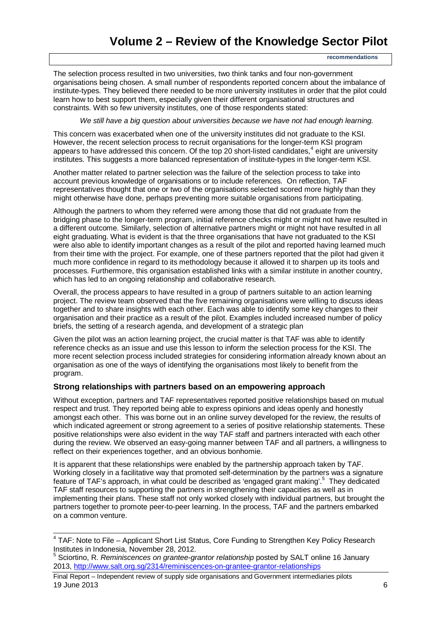**recommendations** 

The selection process resulted in two universities, two think tanks and four non-government organisations being chosen. A small number of respondents reported concern about the imbalance of institute-types. They believed there needed to be more university institutes in order that the pilot could learn how to best support them, especially given their different organisational structures and constraints. With so few university institutes, one of those respondents stated:

#### *We still have a big question about universities because we have not had enough learning.*

This concern was exacerbated when one of the university institutes did not graduate to the KSI. However, the recent selection process to recruit organisations for the longer-term KSI program appears to have addressed this concern. Of the top 20 short-listed candidates, $4$  eight are university institutes. This suggests a more balanced representation of institute-types in the longer-term KSI.

Another matter related to partner selection was the failure of the selection process to take into account previous knowledge of organisations or to include references. On reflection, TAF representatives thought that one or two of the organisations selected scored more highly than they might otherwise have done, perhaps preventing more suitable organisations from participating.

Although the partners to whom they referred were among those that did not graduate from the bridging phase to the longer-term program, initial reference checks might or might not have resulted in a different outcome. Similarly, selection of alternative partners might or might not have resulted in all eight graduating. What is evident is that the three organisations that have not graduated to the KSI were also able to identify important changes as a result of the pilot and reported having learned much from their time with the project. For example, one of these partners reported that the pilot had given it much more confidence in regard to its methodology because it allowed it to sharpen up its tools and processes. Furthermore, this organisation established links with a similar institute in another country, which has led to an ongoing relationship and collaborative research.

Overall, the process appears to have resulted in a group of partners suitable to an action learning project. The review team observed that the five remaining organisations were willing to discuss ideas together and to share insights with each other. Each was able to identify some key changes to their organisation and their practice as a result of the pilot. Examples included increased number of policy briefs, the setting of a research agenda, and development of a strategic plan

Given the pilot was an action learning project, the crucial matter is that TAF was able to identify reference checks as an issue and use this lesson to inform the selection process for the KSI. The more recent selection process included strategies for considering information already known about an organisation as one of the ways of identifying the organisations most likely to benefit from the program.

### <span id="page-14-0"></span>**Strong relationships with partners based on an empowering approach**

Without exception, partners and TAF representatives reported positive relationships based on mutual respect and trust. They reported being able to express opinions and ideas openly and honestly amongst each other. This was borne out in an online survey developed for the review, the results of which indicated agreement or strong agreement to a series of positive relationship statements. These positive relationships were also evident in the way TAF staff and partners interacted with each other during the review. We observed an easy-going manner between TAF and all partners, a willingness to reflect on their experiences together, and an obvious bonhomie.

It is apparent that these relationships were enabled by the partnership approach taken by TAF. Working closely in a facilitative way that promoted self-determination by the partners was a signature feature of TAF's approach, in what could be described as 'engaged grant making'.<sup>[5](#page-14-2)</sup> They dedicated TAF staff resources to supporting the partners in strengthening their capacities as well as in implementing their plans. These staff not only worked closely with individual partners, but brought the partners together to promote peer-to-peer learning. In the process, TAF and the partners embarked on a common venture.

<span id="page-14-1"></span><sup>&</sup>lt;sup>4</sup> TAF: Note to File – Applicant Short List Status, Core Funding to Strengthen Key Policy Research Institutes in Indonesia, November 28, 2012.<br><sup>5</sup> Sciortino, R. *Reminiscences on grantee-grantor relationship* posted by SALT online 16 January

<span id="page-14-2"></span><sup>2013,</sup><http://www.salt.org.sg/2314/reminiscences-on-grantee-grantor-relationships>

Final Report – Independent review of supply side organisations and Government intermediaries pilots 19 June 2013 6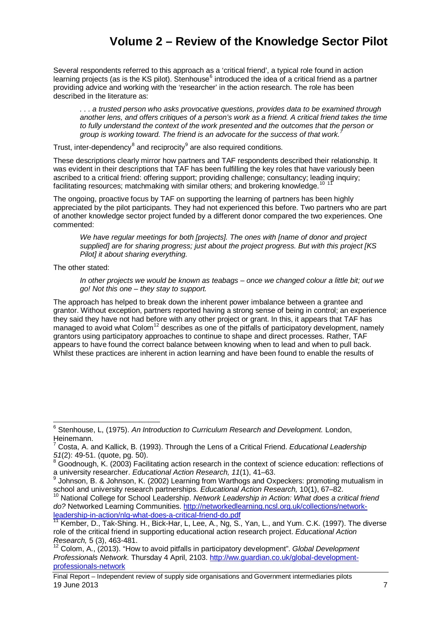Several respondents referred to this approach as a 'critical friend', a typical role found in action learning projects (as is the KS pilot). Stenhouse  $6$  introduced the idea of a critical friend as a partner providing advice and working with the 'researcher' in the action research. The role has been described in the literature as:

*. . . a trusted person who asks provocative questions, provides data to be examined through another lens, and offers critiques of a person's work as a friend. A critical friend takes the time to fully understand the context of the work presented and the outcomes that the person or group is working toward. The friend is an advocate for the success of that work.[7](#page-15-1)*

Trust, inter-dependency<sup>[8](#page-15-2)</sup> and reciprocity<sup>[9](#page-15-3)</sup> are also required conditions.

These descriptions clearly mirror how partners and TAF respondents described their relationship. It was evident in their descriptions that TAF has been fulfilling the key roles that have variously been ascribed to a critical friend: offering support; providing challenge; consultancy; leading inquiry; facilitating resources; matchmaking with similar others; and brokering knowledge.<sup>[10](#page-15-4)</sup> <sup>1</sup>

The ongoing, proactive focus by TAF on supporting the learning of partners has been highly appreciated by the pilot participants. They had not experienced this before. Two partners who are part of another knowledge sector project funded by a different donor compared the two experiences. One commented:

*We have regular meetings for both [projects]. The ones with [name of donor and project supplied] are for sharing progress; just about the project progress. But with this project [KS Pilot] it about sharing everything.* 

The other stated:

*In other projects we would be known as teabags – once we changed colour a little bit; out we go! Not this one – they stay to support.* 

The approach has helped to break down the inherent power imbalance between a grantee and grantor. Without exception, partners reported having a strong sense of being in control; an experience they said they have not had before with any other project or grant. In this, it appears that TAF has managed to avoid what  $\text{Colom}^{12}$  $\text{Colom}^{12}$  $\text{Colom}^{12}$  describes as one of the pitfalls of participatory development, namely grantors using participatory approaches to continue to shape and direct processes. Rather, TAF appears to have found the correct balance between knowing when to lead and when to pull back. Whilst these practices are inherent in action learning and have been found to enable the results of

<span id="page-15-0"></span> <sup>6</sup> Stenhouse, L, (1975). *An Introduction to Curriculum Research and Development.* London, Heinemann.

<span id="page-15-1"></span><sup>7</sup> Costa, A. and Kallick, B. (1993). Through the Lens of a Critical Friend. *Educational Leadership* 

<span id="page-15-2"></span>*<sup>51</sup>*(2): 49-51. (quote, pg. 50).<br><sup>8</sup> Goodnough, K. (2003) Facilitating action research in the context of science education: reflections of a university researcher. *Educational Action Research, 11*(1), 41–63.

<span id="page-15-3"></span> $^{9}$  Johnson, B. & Johnson, K. (2002) Learning from Warthogs and Oxpeckers: promoting mutualism in school and university research partnerships. *Educational Action Research,* 10(1), 67–82.

<span id="page-15-4"></span><sup>&</sup>lt;sup>10</sup> National College for School Leadership. *Network Leadership in Action: What does a critical friend do?* Networked Learning Communities[. http://networkedlearning.ncsl.org.uk/collections/network](http://networkedlearning.ncsl.org.uk/collections/network-leadership-in-action/nlg-what-does-a-critical-friend-do.pdf)[leadership-in-action/nlg-what-does-a-critical-friend-do.pdf](http://networkedlearning.ncsl.org.uk/collections/network-leadership-in-action/nlg-what-does-a-critical-friend-do.pdf)<br><sup>11</sup> Kember, D., Tak-Shing. H., Bick-Har, L., Lee, A., Ng, S., Yan, L., and Yum. C.K. (1997). The diverse

<span id="page-15-5"></span>role of the critical friend in supporting educational action research project. *Educational Action Research,* 5 (3), 463-481.

<span id="page-15-6"></span><sup>&</sup>lt;sup>12</sup> Colom, A., (2013). "How to avoid pitfalls in participatory development". Global Development *Professionals Network.* Thursday 4 April, 2103. [http://ww.guardian.co.uk/global-development](http://ww.guardian.co.uk/global-development-professionals-network)[professionals-network](http://ww.guardian.co.uk/global-development-professionals-network)

Final Report – Independent review of supply side organisations and Government intermediaries pilots 19 June 2013 7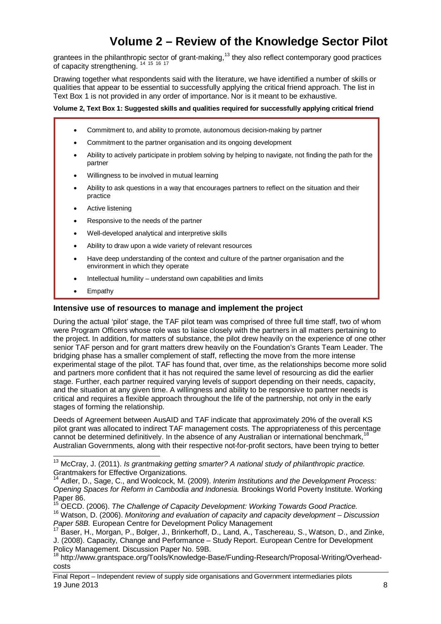grantees in the philanthropic sector of grant-making,<sup>[13](#page-16-1)</sup> they also reflect contemporary good practices of capacity strengthening.<sup>[14](#page-16-2) [15](#page-16-3)</sup> <sup>[16](#page-16-4)</sup> <sup>[17](#page-16-5)</sup>

Drawing together what respondents said with the literature, we have identified a number of skills or qualities that appear to be essential to successfully applying the critical friend approach. The list in Text Box 1 is not provided in any order of importance. Nor is it meant to be exhaustive.

#### **Volume 2, Text Box 1: Suggested skills and qualities required for successfully applying critical friend**

- Commitment to, and ability to promote, autonomous decision-making by partner
- Commitment to the partner organisation and its ongoing development
- Ability to actively participate in problem solving by helping to navigate, not finding the path for the partner
- Willingness to be involved in mutual learning
- Ability to ask questions in a way that encourages partners to reflect on the situation and their practice
- Active listening
- Responsive to the needs of the partner
- Well-developed analytical and interpretive skills
- Ability to draw upon a wide variety of relevant resources
- Have deep understanding of the context and culture of the partner organisation and the environment in which they operate
- Intellectual humility understand own capabilities and limits
- **Empathy**

### <span id="page-16-0"></span>**Intensive use of resources to manage and implement the project**

During the actual 'pilot' stage, the TAF pilot team was comprised of three full time staff, two of whom were Program Officers whose role was to liaise closely with the partners in all matters pertaining to the project. In addition, for matters of substance, the pilot drew heavily on the experience of one other senior TAF person and for grant matters drew heavily on the Foundation's Grants Team Leader. The bridging phase has a smaller complement of staff, reflecting the move from the more intense experimental stage of the pilot. TAF has found that, over time, as the relationships become more solid and partners more confident that it has not required the same level of resourcing as did the earlier stage. Further, each partner required varying levels of support depending on their needs, capacity, and the situation at any given time. A willingness and ability to be responsive to partner needs is critical and requires a flexible approach throughout the life of the partnership, not only in the early stages of forming the relationship.

Deeds of Agreement between AusAID and TAF indicate that approximately 20% of the overall KS pilot grant was allocated to indirect TAF management costs. The appropriateness of this percentage cannot be determined definitively. In the absence of any Australian or international benchmark, Australian Governments, along with their respective not-for-profit sectors, have been trying to better

Final Report – Independent review of supply side organisations and Government intermediaries pilots 19 June 2013 8

<span id="page-16-1"></span> <sup>13</sup> McCray, J. (2011). *Is grantmaking getting smarter? A national study of philanthropic practice.*  Grantmakers for Effective Organizations.

<span id="page-16-2"></span><sup>14</sup> Adler, D., Sage, C., and Woolcock, M. (2009). *Interim Institutions and the Development Process: Opening Spaces for Reform in Cambodia and Indonesia.* Brookings World Poverty Institute. Working Paper 86.

<span id="page-16-4"></span><span id="page-16-3"></span><sup>15</sup> OECD. (2006). *The Challenge of Capacity Development: Working Towards Good Practice.*<br><sup>16</sup> Watson, D. (2006). *Monitoring and evaluation of capacity and capacity development – Discussion Paper 58B. European Centre for D* 

<span id="page-16-5"></span><sup>&</sup>lt;sup>17</sup> Baser, H., Morgan, P., Bolger, J., Brinkerhoff, D., Land, A., Taschereau, S., Watson, D., and Zinke, J. (2008). Capacity, Change and Performance – Study Report. European Centre for Development Policy Management. Discussion Paper No. 59B.

<span id="page-16-6"></span><sup>18</sup> http://www.grantspace.org/Tools/Knowledge-Base/Funding-Research/Proposal-Writing/Overheadcosts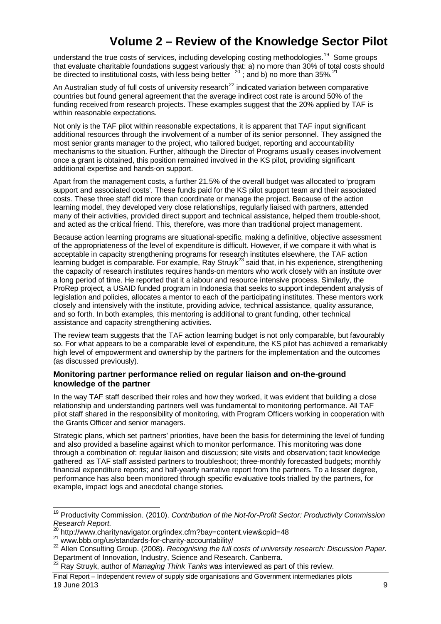understand the true costs of services, including developing costing methodologies.<sup>[19](#page-17-1)</sup> Some groups that evaluate charitable foundations suggest variously that: a) no more than 30% of total costs should be directed to institutional costs, with less being better <sup>[20](#page-17-2)</sup>; and b) no more than 35%.

An Australian study of full costs of university research<sup>[22](#page-17-4)</sup> indicated variation between comparative countries but found general agreement that the average indirect cost rate is around 50% of the funding received from research projects. These examples suggest that the 20% applied by TAF is within reasonable expectations.

Not only is the TAF pilot within reasonable expectations, it is apparent that TAF input significant additional resources through the involvement of a number of its senior personnel. They assigned the most senior grants manager to the project, who tailored budget, reporting and accountability mechanisms to the situation. Further, although the Director of Programs usually ceases involvement once a grant is obtained, this position remained involved in the KS pilot, providing significant additional expertise and hands-on support.

Apart from the management costs, a further 21.5% of the overall budget was allocated to 'program support and associated costs'. These funds paid for the KS pilot support team and their associated costs. These three staff did more than coordinate or manage the project. Because of the action learning model, they developed very close relationships, regularly liaised with partners, attended many of their activities, provided direct support and technical assistance, helped them trouble-shoot, and acted as the critical friend. This, therefore, was more than traditional project management.

Because action learning programs are situational-specific, making a definitive, objective assessment of the appropriateness of the level of expenditure is difficult. However, if we compare it with what is acceptable in capacity strengthening programs for research institutes elsewhere, the TAF action learning budget is comparable. For example, Ray Struyk<sup>[23](#page-17-5)</sup> said that, in his experience, strengthening the capacity of research institutes requires hands-on mentors who work closely with an institute over a long period of time. He reported that it a labour and resource intensive process. Similarly, the ProRep project, a USAID funded program in Indonesia that seeks to support independent analysis of legislation and policies, allocates a mentor to each of the participating institutes. These mentors work closely and intensively with the institute, providing advice, technical assistance, quality assurance, and so forth. In both examples, this mentoring is additional to grant funding, other technical assistance and capacity strengthening activities.

The review team suggests that the TAF action learning budget is not only comparable, but favourably so. For what appears to be a comparable level of expenditure, the KS pilot has achieved a remarkably high level of empowerment and ownership by the partners for the implementation and the outcomes (as discussed previously).

### <span id="page-17-0"></span>**Monitoring partner performance relied on regular liaison and on-the-ground knowledge of the partner**

In the way TAF staff described their roles and how they worked, it was evident that building a close relationship and understanding partners well was fundamental to monitoring performance. All TAF pilot staff shared in the responsibility of monitoring, with Program Officers working in cooperation with the Grants Officer and senior managers.

Strategic plans, which set partners' priorities, have been the basis for determining the level of funding and also provided a baseline against which to monitor performance. This monitoring was done through a combination of: regular liaison and discussion; site visits and observation; tacit knowledge gathered as TAF staff assisted partners to troubleshoot; three-monthly forecasted budgets; monthly financial expenditure reports; and half-yearly narrative report from the partners. To a lesser degree, performance has also been monitored through specific evaluative tools trialled by the partners, for example, impact logs and anecdotal change stories.

<span id="page-17-1"></span> <sup>19</sup> Productivity Commission. (2010). *Contribution of the Not-for-Profit Sector: Productivity Commission Research Report.*<br><sup>20</sup> http://www.charitynavigator.org/index.cfm?bay=content.view&cpid=48

<span id="page-17-4"></span><span id="page-17-3"></span><span id="page-17-2"></span><sup>21</sup> www.bbb.org/us/standards-for-charity-accountability/<br>22 Allen Consulting Group. (2008). Recognising the full costs of university research: Discussion Paper. Department of Innovation, Industry, Science and Research. Canberra.

<span id="page-17-5"></span><sup>23</sup> Ray Struyk, author of *Managing Think Tanks* was interviewed as part of this review.

Final Report – Independent review of supply side organisations and Government intermediaries pilots 19 June 2013 9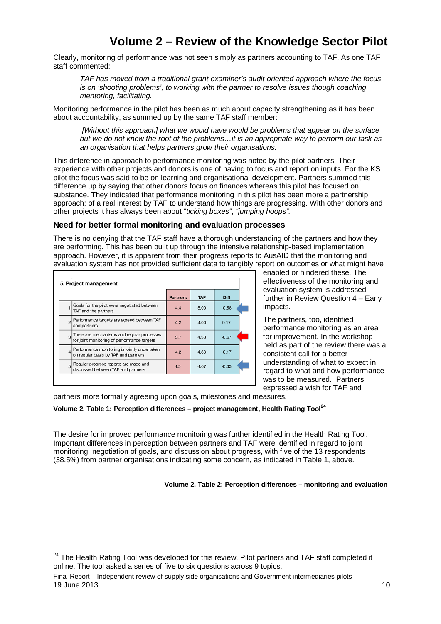Clearly, monitoring of performance was not seen simply as partners accounting to TAF. As one TAF staff commented:

*TAF has moved from a traditional grant examiner's audit-oriented approach where the focus is on 'shooting problems', to working with the partner to resolve issues though coaching mentoring, facilitating.* 

Monitoring performance in the pilot has been as much about capacity strengthening as it has been about accountability, as summed up by the same TAF staff member:

*[Without this approach] what we would have would be problems that appear on the surface but we do not know the root of the problems…it is an appropriate way to perform our task as an organisation that helps partners grow their organisations.* 

This difference in approach to performance monitoring was noted by the pilot partners. Their experience with other projects and donors is one of having to focus and report on inputs. For the KS pilot the focus was said to be on learning and organisational development. Partners summed this difference up by saying that other donors focus on finances whereas this pilot has focused on substance. They indicated that performance monitoring in this pilot has been more a partnership approach; of a real interest by TAF to understand how things are progressing. With other donors and other projects it has always been about "*ticking boxes"*, *"jumping hoops".* 

### <span id="page-18-0"></span>**Need for better formal monitoring and evaluation processes**

There is no denying that the TAF staff have a thorough understanding of the partners and how they are performing. This has been built up through the intensive relationship-based implementation approach. However, it is apparent from their progress reports to AusAID that the monitoring and evaluation system has not provided sufficient data to tangibly report on outcomes or what might have

|   |                                                                                           | <b>Partners</b> | <b>TAF</b> | <b>Diff</b> |
|---|-------------------------------------------------------------------------------------------|-----------------|------------|-------------|
|   | Goals for the pilot were negotiated between<br>TAF and the partners                       | 4.4             | 5.00       | $-0.58$     |
|   | Performance targets are agreed between TAF<br>and partners                                | 4.2             | 4.00       | 0.17        |
| 3 | There are mechanisms and regular processes<br>for joint monitoring of performance targets | 3.7             | 4.33       | $-0.67$     |
|   | Performance monitoring is jointly undertaken<br>on regular basis by TAF and partners      | 4.2             | 4.33       | $-0.17$     |
|   | Regular progress reports are made and<br>discussed between TAF and partners               | 4.3             | 4.67       | $-0.33$     |

enabled or hindered these. The effectiveness of the monitoring and evaluation system is addressed further in Review Question 4 – Early impacts.

The partners, too, identified performance monitoring as an area for improvement. In the workshop held as part of the review there was a consistent call for a better understanding of what to expect in regard to what and how performance was to be measured. Partners expressed a wish for TAF and

partners more formally agreeing upon goals, milestones and measures.

**Volume 2, Table 1: Perception differences – project management, Health Rating Tool[24](#page-18-1)**

The desire for improved performance monitoring was further identified in the Health Rating Tool. Important differences in perception between partners and TAF were identified in regard to joint monitoring, negotiation of goals, and discussion about progress, with five of the 13 respondents (38.5%) from partner organisations indicating some concern, as indicated in Table 1, above.

**Volume 2, Table 2: Perception differences – monitoring and evaluation** 

<span id="page-18-1"></span><sup>&</sup>lt;sup>24</sup> The Health Rating Tool was developed for this review. Pilot partners and TAF staff completed it online. The tool asked a series of five to six questions across 9 topics.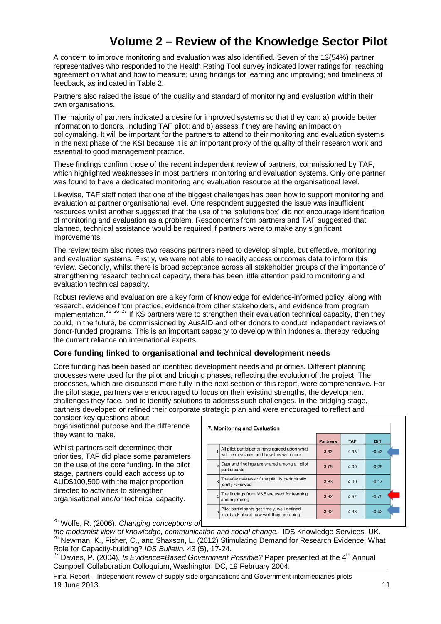A concern to improve monitoring and evaluation was also identified. Seven of the 13(54%) partner representatives who responded to the Health Rating Tool survey indicated lower ratings for: reaching agreement on what and how to measure; using findings for learning and improving; and timeliness of feedback, as indicated in Table 2.

Partners also raised the issue of the quality and standard of monitoring and evaluation within their own organisations.

The majority of partners indicated a desire for improved systems so that they can: a) provide better information to donors, including TAF pilot; and b) assess if they are having an impact on policymaking. It will be important for the partners to attend to their monitoring and evaluation systems in the next phase of the KSI because it is an important proxy of the quality of their research work and essential to good management practice.

These findings confirm those of the recent independent review of partners, commissioned by TAF, which highlighted weaknesses in most partners' monitoring and evaluation systems. Only one partner was found to have a dedicated monitoring and evaluation resource at the organisational level.

Likewise, TAF staff noted that one of the biggest challenges has been how to support monitoring and evaluation at partner organisational level. One respondent suggested the issue was insufficient resources whilst another suggested that the use of the 'solutions box' did not encourage identification of monitoring and evaluation as a problem. Respondents from partners and TAF suggested that planned, technical assistance would be required if partners were to make any significant improvements.

The review team also notes two reasons partners need to develop simple, but effective, monitoring and evaluation systems. Firstly, we were not able to readily access outcomes data to inform this review. Secondly, whilst there is broad acceptance across all stakeholder groups of the importance of strengthening research technical capacity, there has been little attention paid to monitoring and evaluation technical capacity.

Robust reviews and evaluation are a key form of knowledge for evidence-informed policy, along with research, evidence from practice, evidence from other stakeholders, and evidence from program implementation.<sup>[25](#page-19-1) [26](#page-19-2) [27](#page-19-3)</sup> If KS partners were to strengthen their evaluation technical capacity, then they could, in the future, be commissioned by AusAID and other donors to conduct independent reviews of donor-funded programs. This is an important capacity to develop within Indonesia, thereby reducing the current reliance on international experts.

### <span id="page-19-0"></span>**Core funding linked to organisational and technical development needs**

Core funding has been based on identified development needs and priorities. Different planning processes were used for the pilot and bridging phases, reflecting the evolution of the project. The processes, which are discussed more fully in the next section of this report, were comprehensive. For the pilot stage, partners were encouraged to focus on their existing strengths, the development challenges they face, and to identify solutions to address such challenges. In the bridging stage, partners developed or refined their corporate strategic plan and were encouraged to reflect and

consider key questions about organisational purpose and the difference they want to make.

Whilst partners self-determined their priorities, TAF did place some parameters on the use of the core funding. In the pilot stage, partners could each access up to AUD\$100,500 with the major proportion directed to activities to strengthen organisational and/or technical capacity.

|                          |                                                                                          | <b>Partners</b> | <b>TAF</b> | <b>Diff</b> |
|--------------------------|------------------------------------------------------------------------------------------|-----------------|------------|-------------|
|                          | All pilot participants have agreed upon what<br>will be measured and how this will occur | 3.92            | 4.33       | $-0.42$     |
|                          | Data and findings are shared among all pilot<br>participants                             | 3.75            | 4.00       | $-0.25$     |
| 3                        | The effectiveness of the pilot is periodically<br>jointly reviewed                       | 3.83            | 4.00       | $-0.17$     |
| $\boldsymbol{\varDelta}$ | The findings from M&E are used for learning<br>and improving                             | 3.92            | 4.67       | $-0.75$     |
|                          | 5 Pilot participants get timely, well defined<br>feedback about how well they are doing  | 3.92            | 4.33       | $-0.42$     |

<span id="page-19-1"></span><sup>25</sup> Wolfe, R. (2006). *Changing conceptions of intermediary conceptions in the modernist view of knowledge, communication and social change. IDS Knowledge Services. UK.* <sup>26</sup> Newman, K., Fisher, C., and Shaxson, L. (2012) Stimulating Demand for Research Evidence: What Role for Capacity-building? *IDS Bulletin.* 43 (5), 17-24.

<span id="page-19-3"></span><span id="page-19-2"></span>Davies, P. (2004). *Is Evidence=Based Government Possible?* Paper presented at the 4<sup>th</sup> Annual Campbell Collaboration Colloquium, Washington DC, 19 February 2004.

Final Report – Independent review of supply side organisations and Government intermediaries pilots 19 June 2013 **11 12** June 2013 **12** June 2013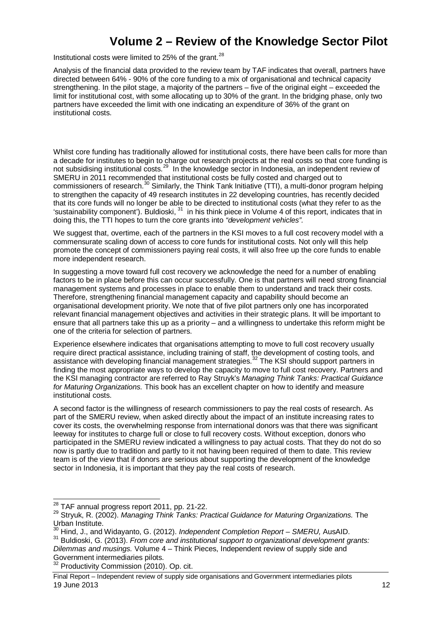Institutional costs were limited to 25% of the grant. $^{28}$  $^{28}$  $^{28}$ 

Analysis of the financial data provided to the review team by TAF indicates that overall, partners have directed between 64% - 90% of the core funding to a mix of organisational and technical capacity strengthening. In the pilot stage, a majority of the partners – five of the original eight – exceeded the limit for institutional cost, with some allocating up to 30% of the grant. In the bridging phase, only two partners have exceeded the limit with one indicating an expenditure of 36% of the grant on institutional costs.

Whilst core funding has traditionally allowed for institutional costs, there have been calls for more than a decade for institutes to begin to charge out research projects at the real costs so that core funding is not subsidising institutional costs.<sup>29</sup> In the knowledge sector in Indonesia, an independent review of unknowledge sector in Indonesia, an independent review of SMERU in 2011 recommended that institutional costs be fully costed and charged out to commissioners of research.<sup>[30](#page-20-2)</sup> Similarly, the Think Tank Initiative (TTI), a multi-donor program helping to strengthen the capacity of 49 research institutes in 22 developing countries, has recently decided that its core funds will no longer be able to be directed to institutional costs (what they refer to as the 'sustainability component'). Buldioski, [31](#page-20-3) in his think piece in Volume 4 of this report, indicates that in doing this, the TTI hopes to turn the core grants into *"development vehicles".* 

We suggest that, overtime, each of the partners in the KSI moves to a full cost recovery model with a commensurate scaling down of access to core funds for institutional costs. Not only will this help promote the concept of commissioners paying real costs, it will also free up the core funds to enable more independent research.

In suggesting a move toward full cost recovery we acknowledge the need for a number of enabling factors to be in place before this can occur successfully. One is that partners will need strong financial management systems and processes in place to enable them to understand and track their costs. Therefore, strengthening financial management capacity and capability should become an organisational development priority. We note that of five pilot partners only one has incorporated relevant financial management objectives and activities in their strategic plans. It will be important to ensure that all partners take this up as a priority – and a willingness to undertake this reform might be one of the criteria for selection of partners.

Experience elsewhere indicates that organisations attempting to move to full cost recovery usually require direct practical assistance, including training of staff, the development of costing tools, and assistance with developing financial management strategies.<sup>[32](#page-20-4)</sup> The KSI should support partners in finding the most appropriate ways to develop the capacity to move to full cost recovery. Partners and the KSI managing contractor are referred to Ray Struyk's *Managing Think Tanks: Practical Guidance for Maturing Organizations.* This book has an excellent chapter on how to identify and measure institutional costs.

A second factor is the willingness of research commissioners to pay the real costs of research. As part of the SMERU review, when asked directly about the impact of an institute increasing rates to cover its costs, the overwhelming response from international donors was that there was significant leeway for institutes to charge full or close to full recovery costs. Without exception, donors who participated in the SMERU review indicated a willingness to pay actual costs. That they do not do so now is partly due to tradition and partly to it not having been required of them to date. This review team is of the view that if donors are serious about supporting the development of the knowledge sector in Indonesia, it is important that they pay the real costs of research.

<span id="page-20-0"></span><sup>&</sup>lt;sup>28</sup> TAF annual progress report 2011, pp. 21-22.

<span id="page-20-1"></span><sup>29</sup> Stryuk, R. (2002). *Managing Think Tanks: Practical Guidance for Maturing Organizations.* The Urban Institute.

<sup>30</sup> Hind, J., and Widayanto, G. (2012). *Independent Completion Report – SMERU,* AusAID.

<span id="page-20-3"></span><span id="page-20-2"></span><sup>31</sup> Buldioski, G. (2013). *From core and institutional support to organizational development grants: Dilemmas and musings.* Volume 4 – Think Pieces, Independent review of supply side and Government intermediaries pilots.

<span id="page-20-4"></span><sup>&</sup>lt;sup>32</sup> Productivity Commission (2010). Op. cit.

Final Report – Independent review of supply side organisations and Government intermediaries pilots 19 June 2013 12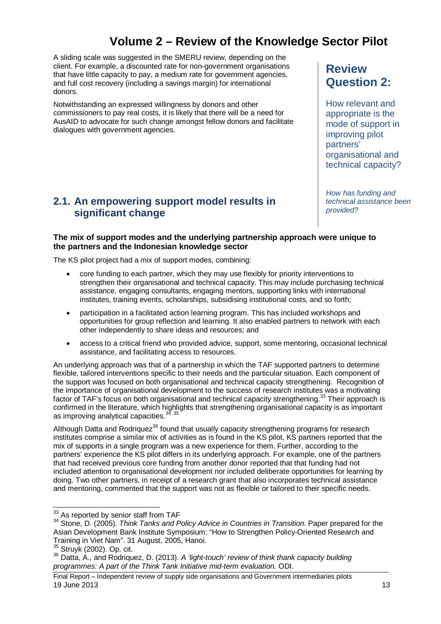A sliding scale was suggested in the SMERU review, depending on the client. For example, a discounted rate for non-government organisations that have little capacity to pay, a medium rate for government agencies, and full cost recovery (including a savings margin) for international donors.

Notwithstanding an expressed willingness by donors and other commissioners to pay real costs, it is likely that there will be a need for AusAID to advocate for such change amongst fellow donors and facilitate dialogues with government agencies.

### <span id="page-21-0"></span>**2.1. An empowering support model results in significant change**

### **Review Question 2:**

How relevant and appropriate is the mode of support in improving pilot partners' organisational and technical capacity?

*How has funding and technical assistance been provided?* 

### <span id="page-21-1"></span>**The mix of support modes and the underlying partnership approach were unique to the partners and the Indonesian knowledge sector**

The KS pilot project had a mix of support modes, combining:

- core funding to each partner, which they may use flexibly for priority interventions to strengthen their organisational and technical capacity. This may include purchasing technical assistance, engaging consultants, engaging mentors, supporting links with international institutes, training events, scholarships, subsidising institutional costs, and so forth;
- participation in a facilitated action learning program. This has included workshops and opportunities for group reflection and learning. It also enabled partners to network with each other independently to share ideas and resources; and
- access to a critical friend who provided advice, support, some mentoring, occasional technical assistance, and facilitating access to resources.

An underlying approach was that of a partnership in which the TAF supported partners to determine flexible, tailored interventions specific to their needs and the particular situation. Each component of the support was focused on both organisational and technical capacity strengthening. Recognition of the importance of organisational development to the success of research institutes was a motivating factor of TAF's focus on both organisational and technical capacity strengthening.<sup>[33](#page-21-2)</sup> Their approach is confirmed in the literature, which highlights that strengthening organisational capacity is as important as improving analytical capacities.[34](#page-21-3) [35](#page-21-4)

Although Datta and Rodriquez<sup>[36](#page-21-5)</sup> found that usually capacity strengthening programs for research institutes comprise a similar mix of activities as is found in the KS pilot, KS partners reported that the mix of supports in a single program was a new experience for them. Further, according to the partners' experience the KS pilot differs in its underlying approach. For example, one of the partners that had received previous core funding from another donor reported that that funding had not included attention to organisational development nor included deliberate opportunities for learning by doing. Two other partners, in receipt of a research grant that also incorporates technical assistance and mentoring, commented that the support was not as flexible or tailored to their specific needs.

<span id="page-21-3"></span><span id="page-21-2"></span><sup>&</sup>lt;sup>33</sup> As reported by senior staff from TAF<br><sup>34</sup> Stone, D. (2005). *Think Tanks and Policy Advice in Countries in Transition.* Paper prepared for the Asian Development Bank Institute Symposium: "How to Strengthen Policy-Oriented Research and Training in Viet Nam". 31 August, 2005, Hanoi.

<span id="page-21-5"></span><span id="page-21-4"></span><sup>&</sup>lt;sup>35</sup> Struyk (2002). Op. cit.<br><sup>36</sup> Datta, A., and Rodriquez, D. (2013). *A 'light-touch' review of think thank capacity building programmes: A part of the Think Tank Initiative mid-term evaluation.* ODI.

Final Report – Independent review of supply side organisations and Government intermediaries pilots 19 June 2013 **13 June 2013** 13 June 2013 13 June 2014 13 June 2014 13 June 2013 13 June 2013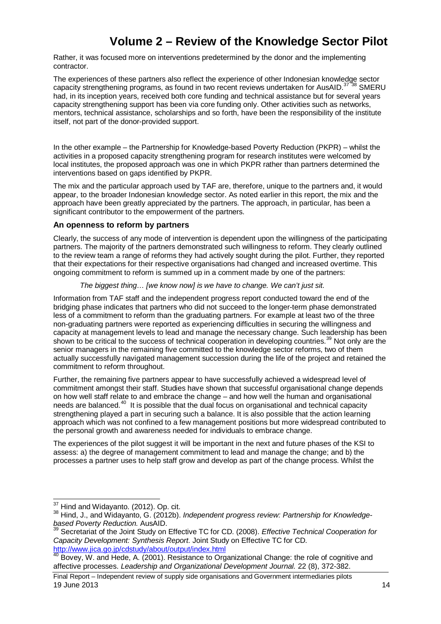Rather, it was focused more on interventions predetermined by the donor and the implementing contractor.

The experiences of these partners also reflect the experience of other Indonesian knowledge sector capacity strengthening programs, as found in two recent reviews undertaken for AusAID.<sup>[37](#page-22-1),58</sup> SMERU had, in its inception years, received both core funding and technical assistance but for several years capacity strengthening support has been via core funding only. Other activities such as networks, mentors, technical assistance, scholarships and so forth, have been the responsibility of the institute itself, not part of the donor-provided support.

In the other example – the Partnership for Knowledge-based Poverty Reduction (PKPR) – whilst the activities in a proposed capacity strengthening program for research institutes were welcomed by local institutes, the proposed approach was one in which PKPR rather than partners determined the interventions based on gaps identified by PKPR.

The mix and the particular approach used by TAF are, therefore, unique to the partners and, it would appear, to the broader Indonesian knowledge sector. As noted earlier in this report, the mix and the approach have been greatly appreciated by the partners. The approach, in particular, has been a significant contributor to the empowerment of the partners.

### <span id="page-22-0"></span>**An openness to reform by partners**

Clearly, the success of any mode of intervention is dependent upon the willingness of the participating partners. The majority of the partners demonstrated such willingness to reform. They clearly outlined to the review team a range of reforms they had actively sought during the pilot. Further, they reported that their expectations for their respective organisations had changed and increased overtime. This ongoing commitment to reform is summed up in a comment made by one of the partners:

#### *The biggest thing… [we know now] is we have to change. We can't just sit.*

Information from TAF staff and the independent progress report conducted toward the end of the bridging phase indicates that partners who did not succeed to the longer-term phase demonstrated less of a commitment to reform than the graduating partners. For example at least two of the three non-graduating partners were reported as experiencing difficulties in securing the willingness and capacity at management levels to lead and manage the necessary change. Such leadership has been shown to be critical to the success of technical cooperation in developing countries.<sup>[39](#page-22-3)</sup> Not only are the senior managers in the remaining five committed to the knowledge sector reforms, two of them actually successfully navigated management succession during the life of the project and retained the commitment to reform throughout.

Further, the remaining five partners appear to have successfully achieved a widespread level of commitment amongst their staff. Studies have shown that successful organisational change depends on how well staff relate to and embrace the change – and how well the human and organisational needs are balanced.<sup>[40](#page-22-4)</sup> It is possible that the dual focus on organisational and technical capacity strengthening played a part in securing such a balance. It is also possible that the action learning approach which was not confined to a few management positions but more widespread contributed to the personal growth and awareness needed for individuals to embrace change.

The experiences of the pilot suggest it will be important in the next and future phases of the KSI to assess: a) the degree of management commitment to lead and manage the change; and b) the processes a partner uses to help staff grow and develop as part of the change process. Whilst the

<span id="page-22-2"></span><span id="page-22-1"></span><sup>&</sup>lt;sup>37</sup> Hind and Widayanto. (2012). Op. cit.<br><sup>38</sup> Hind, J., and Widayanto, G. (2012b). *Independent progress review: Partnership for Knowledgebased Poverty Reduction.* AusAID.

<span id="page-22-3"></span><sup>39</sup> Secretariat of the Joint Study on Effective TC for CD. (2008). *Effective Technical Cooperation for Capacity Development: Synthesis Report.* Joint Study on Effective TC for CD. <http://www.jica.go.jp/cdstudy/about/output/index.html>

<span id="page-22-4"></span><sup>&</sup>lt;sup>40</sup> Bovey, W. and Hede, A. (2001). Resistance to Organizational Change: the role of cognitive and affective processes. *Leadership and Organizational Development Journal.* 22 (8), 372-382.

Final Report – Independent review of supply side organisations and Government intermediaries pilots 19 June 2013 **14** June 2013 **14** June 2013 **14** June 2013 **14** June 2013 **14** June 2013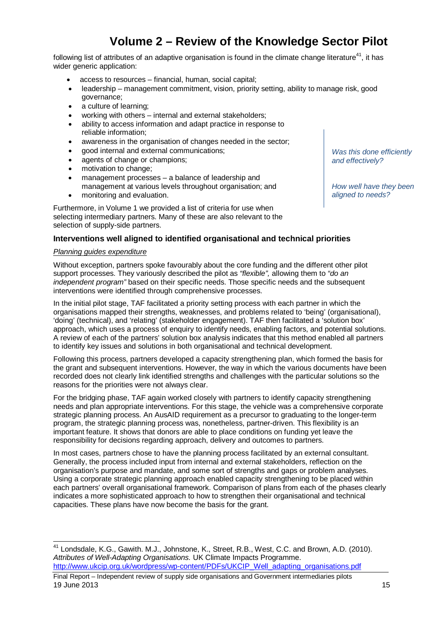following list of attributes of an adaptive organisation is found in the climate change literature<sup>[41](#page-23-1)</sup>, it has wider generic application:

- access to resources financial, human, social capital;
- leadership management commitment, vision, priority setting, ability to manage risk, good governance;
- a culture of learning;
- working with others internal and external stakeholders;
- ability to access information and adapt practice in response to reliable information;
- awareness in the organisation of changes needed in the sector;
- good internal and external communications;
- agents of change or champions:
- motivation to change:
- management processes a balance of leadership and management at various levels throughout organisation; and
- monitoring and evaluation.

Furthermore, in Volume 1 we provided a list of criteria for use when selecting intermediary partners. Many of these are also relevant to the selection of supply-side partners.

### <span id="page-23-0"></span>**Interventions well aligned to identified organisational and technical priorities**

#### *Planning guides expenditure*

Without exception, partners spoke favourably about the core funding and the different other pilot support processes. They variously described the pilot as *"flexible",* allowing them to *"do an independent program"* based on their specific needs. Those specific needs and the subsequent interventions were identified through comprehensive processes.

In the initial pilot stage, TAF facilitated a priority setting process with each partner in which the organisations mapped their strengths, weaknesses, and problems related to 'being' (organisational), 'doing' (technical), and 'relating' (stakeholder engagement). TAF then facilitated a 'solution box' approach, which uses a process of enquiry to identify needs, enabling factors, and potential solutions. A review of each of the partners' solution box analysis indicates that this method enabled all partners to identify key issues and solutions in both organisational and technical development.

Following this process, partners developed a capacity strengthening plan, which formed the basis for the grant and subsequent interventions. However, the way in which the various documents have been recorded does not clearly link identified strengths and challenges with the particular solutions so the reasons for the priorities were not always clear.

For the bridging phase, TAF again worked closely with partners to identify capacity strengthening needs and plan appropriate interventions. For this stage, the vehicle was a comprehensive corporate strategic planning process. An AusAID requirement as a precursor to graduating to the longer-term program, the strategic planning process was, nonetheless, partner-driven. This flexibility is an important feature. It shows that donors are able to place conditions on funding yet leave the responsibility for decisions regarding approach, delivery and outcomes to partners.

In most cases, partners chose to have the planning process facilitated by an external consultant. Generally, the process included input from internal and external stakeholders, reflection on the organisation's purpose and mandate, and some sort of strengths and gaps or problem analyses. Using a corporate strategic planning approach enabled capacity strengthening to be placed within each partners' overall organisational framework. Comparison of plans from each of the phases clearly indicates a more sophisticated approach to how to strengthen their organisational and technical capacities. These plans have now become the basis for the grant.

*Was this done efficiently and effectively?* 

*How well have they been aligned to needs?* 

<span id="page-23-1"></span> <sup>41</sup> Londsdale, K.G., Gawith. M.J., Johnstone, K., Street, R.B., West, C.C. and Brown, A.D. (2010). *Attributes of Well-Adapting Organisations.* UK Climate Impacts Programme. [http://www.ukcip.org.uk/wordpress/wp-content/PDFs/UKCIP\\_Well\\_adapting\\_organisations.pdf](http://www.ukcip.org.uk/wordpress/wp-content/PDFs/UKCIP_Well_adapting_organisations.pdf)

Final Report – Independent review of supply side organisations and Government intermediaries pilots 19 June 2013 15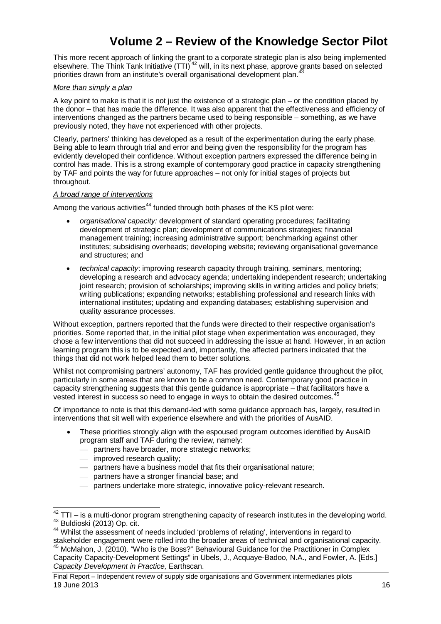This more recent approach of linking the grant to a corporate strategic plan is also being implemented elsewhere. The Think Tank Initiative (TTI) [42](#page-24-0) will, in its next phase, approve grants based on selected priorities drawn from an institute's overall organisational development plan.

#### *More than simply a plan*

A key point to make is that it is not just the existence of a strategic plan – or the condition placed by the donor – that has made the difference. It was also apparent that the effectiveness and efficiency of interventions changed as the partners became used to being responsible – something, as we have previously noted, they have not experienced with other projects.

Clearly, partners' thinking has developed as a result of the experimentation during the early phase. Being able to learn through trial and error and being given the responsibility for the program has evidently developed their confidence. Without exception partners expressed the difference being in control has made. This is a strong example of contemporary good practice in capacity strengthening by TAF and points the way for future approaches – not only for initial stages of projects but throughout.

#### *A broad range of interventions*

Among the various activities<sup>[44](#page-24-2)</sup> funded through both phases of the KS pilot were:

- *organisational capacity:* development of standard operating procedures; facilitating development of strategic plan; development of communications strategies; financial management training; increasing administrative support; benchmarking against other institutes; subsidising overheads; developing website; reviewing organisational governance and structures; and
- *technical capacity*: improving research capacity through training, seminars, mentoring; developing a research and advocacy agenda; undertaking independent research; undertaking joint research; provision of scholarships; improving skills in writing articles and policy briefs; writing publications; expanding networks; establishing professional and research links with international institutes; updating and expanding databases; establishing supervision and quality assurance processes.

Without exception, partners reported that the funds were directed to their respective organisation's priorities. Some reported that, in the initial pilot stage when experimentation was encouraged, they chose a few interventions that did not succeed in addressing the issue at hand. However, in an action learning program this is to be expected and, importantly, the affected partners indicated that the things that did not work helped lead them to better solutions.

Whilst not compromising partners' autonomy, TAF has provided gentle guidance throughout the pilot, particularly in some areas that are known to be a common need. Contemporary good practice in capacity strengthening suggests that this gentle guidance is appropriate – that facilitators have a vested interest in success so need to engage in ways to obtain the desired outcomes.<sup>4</sup>

Of importance to note is that this demand-led with some guidance approach has, largely, resulted in interventions that sit well with experience elsewhere and with the priorities of AusAID.

- These priorities strongly align with the espoused program outcomes identified by AusAID program staff and TAF during the review, namely:
	- partners have broader, more strategic networks;
	- improved research quality;
	- partners have a business model that fits their organisational nature;
	- partners have a stronger financial base; and
	- partners undertake more strategic, innovative policy-relevant research.

<span id="page-24-0"></span> $\frac{42}{43}$ TTI – is a multi-donor program strengthening capacity of research institutes in the developing world.<br><sup>43</sup> Buldioski (2013) Op. cit.<br><sup>44</sup> Whilst the assessment of needs included 'problems of relating', interven

<span id="page-24-2"></span><span id="page-24-1"></span>stakeholder engagement were rolled into the broader areas of technical and organisational capacity. <sup>45</sup> McMahon, J. (2010). "Who is the Boss?" Behavioural Guidance for the Practitioner in Complex Capacity Capacity-Development Settings" in Ubels, J., Acquaye-Badoo, N.A., and Fowler, A. [Eds.]

<span id="page-24-3"></span>*Capacity Development in Practice,* Earthscan.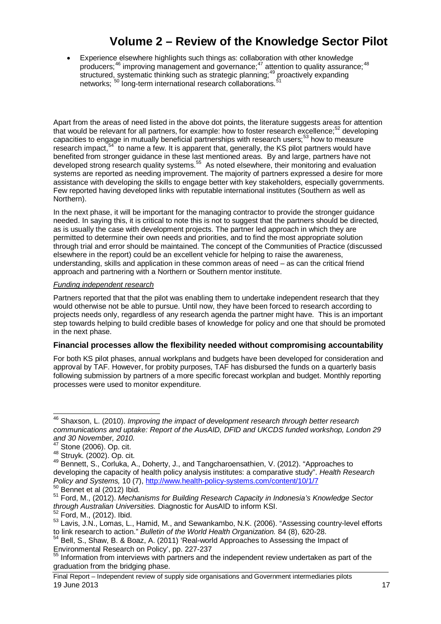• Experience elsewhere highlights such things as: collaboration with other knowledge producers;<sup>[46](#page-25-1)</sup> improving management and governance;<sup>[47](#page-25-2)</sup> attention to quality assurance;<sup>[48](#page-25-3)</sup> producers, improving management and governance, additionally speaking structured, systematic thinking such as strategic planning;<sup>[49](#page-25-4)</sup> proactively expanding networks; <sup>[50](#page-25-5)</sup> long-term international research collaborations.

Apart from the areas of need listed in the above dot points, the literature suggests areas for attention that would be relevant for all partners, for example: how to foster research excellence;<sup>[52](#page-25-7)</sup> developing capacities to engage in mutually beneficial partnerships with research users;<sup>[53](#page-25-8)</sup> how to measure research impact, $54<sup>-1</sup>$  to name a few. It is apparent that, generally, the KS pilot partners would have benefited from stronger guidance in these last mentioned areas. By and large, partners have not developed strong research quality systems.<sup>55</sup> As noted elsewhere, their monitoring and evaluation systems are reported as needing improvement. The majority of partners expressed a desire for more assistance with developing the skills to engage better with key stakeholders, especially governments. Few reported having developed links with reputable international institutes (Southern as well as Northern).

In the next phase, it will be important for the managing contractor to provide the stronger guidance needed. In saying this, it is critical to note this is not to suggest that the partners should be directed, as is usually the case with development projects. The partner led approach in which they are permitted to determine their own needs and priorities, and to find the most appropriate solution through trial and error should be maintained. The concept of the Communities of Practice (discussed elsewhere in the report) could be an excellent vehicle for helping to raise the awareness, understanding, skills and application in these common areas of need – as can the critical friend approach and partnering with a Northern or Southern mentor institute.

### *Funding independent research*

Partners reported that that the pilot was enabling them to undertake independent research that they would otherwise not be able to pursue. Until now, they have been forced to research according to projects needs only, regardless of any research agenda the partner might have. This is an important step towards helping to build credible bases of knowledge for policy and one that should be promoted in the next phase.

### <span id="page-25-0"></span>**Financial processes allow the flexibility needed without compromising accountability**

For both KS pilot phases, annual workplans and budgets have been developed for consideration and approval by TAF. However, for probity purposes, TAF has disbursed the funds on a quarterly basis following submission by partners of a more specific forecast workplan and budget. Monthly reporting processes were used to monitor expenditure.

Final Report – Independent review of supply side organisations and Government intermediaries pilots 19 June 2013 17

<span id="page-25-1"></span> <sup>46</sup> Shaxson, L. (2010). *Improving the impact of development research through better research communications and uptake: Report of the AusAID, DFID and UKCDS funded workshop, London 29 and 30 November, 2010.* 

<span id="page-25-4"></span><span id="page-25-3"></span><span id="page-25-2"></span><sup>&</sup>lt;sup>48</sup> Struyk. (2002). Op. cit.<br><sup>49</sup> Bennett, S., Corluka, A., Doherty, J., and Tangcharoensathien, V. (2012). "Approaches to developing the capacity of health policy analysis institutes: a comparative study". *Health Research Policy and Systems, 10 (7),<http://www.health-policy-systems.com/content/10/1/7>*<sup>50</sup> Bennet et al (2012) Ibid.

<span id="page-25-6"></span><span id="page-25-5"></span><sup>&</sup>lt;sup>51</sup> Ford, M., (2012). *Mechanisms for Building Research Capacity in Indonesia's Knowledge Sector through Australian Universities. Diagnostic for AusAlD to inform KSI.* 

<span id="page-25-8"></span><span id="page-25-7"></span><sup>&</sup>lt;sup>52</sup> Ford, M., (2012). Ibid.<br><sup>53</sup> Lavis, J.N., Lomas, L., Hamid, M., and Sewankambo, N.K. (2006). "Assessing country-level efforts to link research to action." *Bulletin of the World Health Organization.* 84 (8), 620-28.

<span id="page-25-9"></span><sup>54</sup> Bell, S., Shaw, B. & Boaz, A. (2011) 'Real-world Approaches to Assessing the Impact of Environmental Research on Policy', pp. 227-237

<span id="page-25-10"></span> $55$  Information from interviews with partners and the independent review undertaken as part of the graduation from the bridging phase.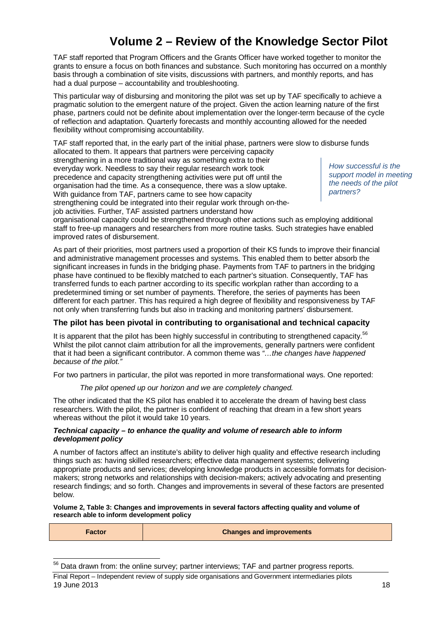TAF staff reported that Program Officers and the Grants Officer have worked together to monitor the grants to ensure a focus on both finances and substance. Such monitoring has occurred on a monthly basis through a combination of site visits, discussions with partners, and monthly reports, and has had a dual purpose – accountability and troubleshooting.

This particular way of disbursing and monitoring the pilot was set up by TAF specifically to achieve a pragmatic solution to the emergent nature of the project. Given the action learning nature of the first phase, partners could not be definite about implementation over the longer-term because of the cycle of reflection and adaptation. Quarterly forecasts and monthly accounting allowed for the needed flexibility without compromising accountability.

TAF staff reported that, in the early part of the initial phase, partners were slow to disburse funds allocated to them. It appears that partners were perceiving capacity

strengthening in a more traditional way as something extra to their everyday work. Needless to say their regular research work took precedence and capacity strengthening activities were put off until the organisation had the time. As a consequence, there was a slow uptake. With guidance from TAF, partners came to see how capacity strengthening could be integrated into their regular work through on-thejob activities. Further, TAF assisted partners understand how

*How successful is the support model in meeting the needs of the pilot partners?* 

organisational capacity could be strengthened through other actions such as employing additional staff to free-up managers and researchers from more routine tasks. Such strategies have enabled improved rates of disbursement.

As part of their priorities, most partners used a proportion of their KS funds to improve their financial and administrative management processes and systems. This enabled them to better absorb the significant increases in funds in the bridging phase. Payments from TAF to partners in the bridging phase have continued to be flexibly matched to each partner's situation. Consequently, TAF has transferred funds to each partner according to its specific workplan rather than according to a predetermined timing or set number of payments. Therefore, the series of payments has been different for each partner. This has required a high degree of flexibility and responsiveness by TAF not only when transferring funds but also in tracking and monitoring partners' disbursement.

### <span id="page-26-0"></span>**The pilot has been pivotal in contributing to organisational and technical capacity**

It is apparent that the pilot has been highly successful in contributing to strengthened capacity.<sup>[56](#page-26-1)</sup> Whilst the pilot cannot claim attribution for all the improvements, generally partners were confident that it had been a significant contributor. A common theme was *"…the changes have happened because of the pilot."*

For two partners in particular, the pilot was reported in more transformational ways. One reported:

*The pilot opened up our horizon and we are completely changed.* 

The other indicated that the KS pilot has enabled it to accelerate the dream of having best class researchers. With the pilot, the partner is confident of reaching that dream in a few short years whereas without the pilot it would take 10 years.

#### *Technical capacity – to enhance the quality and volume of research able to inform development policy*

A number of factors affect an institute's ability to deliver high quality and effective research including things such as: having skilled researchers; effective data management systems; delivering appropriate products and services; developing knowledge products in accessible formats for decisionmakers; strong networks and relationships with decision-makers; actively advocating and presenting research findings; and so forth. Changes and improvements in several of these factors are presented below.

#### **Volume 2, Table 3: Changes and improvements in several factors affecting quality and volume of research able to inform development policy**

| Factor | <b>Changes and improvements</b> |
|--------|---------------------------------|
|--------|---------------------------------|

<span id="page-26-1"></span>Data drawn from: the online survey; partner interviews; TAF and partner progress reports.

Final Report – Independent review of supply side organisations and Government intermediaries pilots 19 June 2013 **18 June 2013** 18 June 2013 18 June 2014 18 June 2014 18 June 2014 18 June 2014 18 June 2014 18 Jun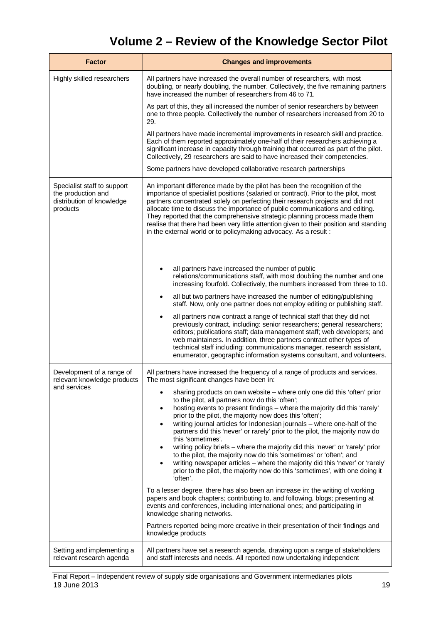| <b>Factor</b>                                                                              | <b>Changes and improvements</b>                                                                                                                                                                                                                                                                                                                                                                                                                                                                                                                                                |  |
|--------------------------------------------------------------------------------------------|--------------------------------------------------------------------------------------------------------------------------------------------------------------------------------------------------------------------------------------------------------------------------------------------------------------------------------------------------------------------------------------------------------------------------------------------------------------------------------------------------------------------------------------------------------------------------------|--|
| Highly skilled researchers                                                                 | All partners have increased the overall number of researchers, with most<br>doubling, or nearly doubling, the number. Collectively, the five remaining partners<br>have increased the number of researchers from 46 to 71.                                                                                                                                                                                                                                                                                                                                                     |  |
|                                                                                            | As part of this, they all increased the number of senior researchers by between<br>one to three people. Collectively the number of researchers increased from 20 to<br>29.                                                                                                                                                                                                                                                                                                                                                                                                     |  |
|                                                                                            | All partners have made incremental improvements in research skill and practice.<br>Each of them reported approximately one-half of their researchers achieving a<br>significant increase in capacity through training that occurred as part of the pilot.<br>Collectively, 29 researchers are said to have increased their competencies.                                                                                                                                                                                                                                       |  |
|                                                                                            | Some partners have developed collaborative research partnerships                                                                                                                                                                                                                                                                                                                                                                                                                                                                                                               |  |
| Specialist staff to support<br>the production and<br>distribution of knowledge<br>products | An important difference made by the pilot has been the recognition of the<br>importance of specialist positions (salaried or contract). Prior to the pilot, most<br>partners concentrated solely on perfecting their research projects and did not<br>allocate time to discuss the importance of public communications and editing.<br>They reported that the comprehensive strategic planning process made them<br>realise that there had been very little attention given to their position and standing<br>in the external world or to policymaking advocacy. As a result : |  |
|                                                                                            | all partners have increased the number of public<br>٠<br>relations/communications staff, with most doubling the number and one<br>increasing fourfold. Collectively, the numbers increased from three to 10.                                                                                                                                                                                                                                                                                                                                                                   |  |
|                                                                                            | all but two partners have increased the number of editing/publishing<br>$\bullet$<br>staff. Now, only one partner does not employ editing or publishing staff.                                                                                                                                                                                                                                                                                                                                                                                                                 |  |
|                                                                                            | all partners now contract a range of technical staff that they did not<br>$\bullet$<br>previously contract, including: senior researchers; general researchers;<br>editors; publications staff; data management staff; web developers; and<br>web maintainers. In addition, three partners contract other types of<br>technical staff including: communications manager, research assistant,<br>enumerator, geographic information systems consultant, and volunteers.                                                                                                         |  |
| Development of a range of<br>relevant knowledge products                                   | All partners have increased the frequency of a range of products and services.<br>The most significant changes have been in:                                                                                                                                                                                                                                                                                                                                                                                                                                                   |  |
| and services                                                                               | sharing products on own website - where only one did this 'often' prior<br>$\bullet$<br>to the pilot, all partners now do this 'often';<br>hosting events to present findings - where the majority did this 'rarely'<br>$\bullet$<br>prior to the pilot, the majority now does this 'often';<br>writing journal articles for Indonesian journals - where one-half of the<br>٠<br>partners did this 'never' or rarely' prior to the pilot, the majority now do                                                                                                                  |  |
|                                                                                            | this 'sometimes'.<br>writing policy briefs - where the majority did this 'never' or 'rarely' prior<br>٠<br>to the pilot, the majority now do this 'sometimes' or 'often'; and<br>writing newspaper articles - where the majority did this 'never' or 'rarely'<br>٠<br>prior to the pilot, the majority now do this 'sometimes', with one doing it<br>'often'.                                                                                                                                                                                                                  |  |
|                                                                                            | To a lesser degree, there has also been an increase in: the writing of working<br>papers and book chapters; contributing to, and following, blogs; presenting at<br>events and conferences, including international ones; and participating in<br>knowledge sharing networks.                                                                                                                                                                                                                                                                                                  |  |
|                                                                                            | Partners reported being more creative in their presentation of their findings and<br>knowledge products                                                                                                                                                                                                                                                                                                                                                                                                                                                                        |  |
| Setting and implementing a<br>relevant research agenda                                     | All partners have set a research agenda, drawing upon a range of stakeholders<br>and staff interests and needs. All reported now undertaking independent                                                                                                                                                                                                                                                                                                                                                                                                                       |  |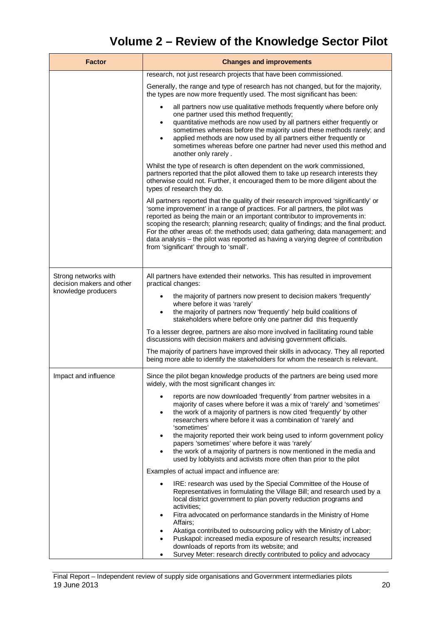| <b>Factor</b>                                    | <b>Changes and improvements</b>                                                                                                                                                                                                                                                                                                                                                                                                                                                                                                                                                                                                |  |  |  |  |
|--------------------------------------------------|--------------------------------------------------------------------------------------------------------------------------------------------------------------------------------------------------------------------------------------------------------------------------------------------------------------------------------------------------------------------------------------------------------------------------------------------------------------------------------------------------------------------------------------------------------------------------------------------------------------------------------|--|--|--|--|
|                                                  | research, not just research projects that have been commissioned.                                                                                                                                                                                                                                                                                                                                                                                                                                                                                                                                                              |  |  |  |  |
|                                                  | Generally, the range and type of research has not changed, but for the majority,<br>the types are now more frequently used. The most significant has been:                                                                                                                                                                                                                                                                                                                                                                                                                                                                     |  |  |  |  |
|                                                  | all partners now use qualitative methods frequently where before only<br>one partner used this method frequently;<br>quantitative methods are now used by all partners either frequently or<br>$\bullet$<br>sometimes whereas before the majority used these methods rarely; and<br>applied methods are now used by all partners either frequently or<br>$\bullet$<br>sometimes whereas before one partner had never used this method and<br>another only rarely.                                                                                                                                                              |  |  |  |  |
|                                                  | Whilst the type of research is often dependent on the work commissioned,<br>partners reported that the pilot allowed them to take up research interests they<br>otherwise could not. Further, it encouraged them to be more diligent about the<br>types of research they do.                                                                                                                                                                                                                                                                                                                                                   |  |  |  |  |
|                                                  | All partners reported that the quality of their research improved 'significantly' or<br>'some improvement' in a range of practices. For all partners, the pilot was<br>reported as being the main or an important contributor to improvements in:<br>scoping the research; planning research; quality of findings; and the final product.<br>For the other areas of: the methods used; data gathering; data management; and<br>data analysis - the pilot was reported as having a varying degree of contribution<br>from 'significant' through to 'small'.                                                                     |  |  |  |  |
| Strong networks with                             | All partners have extended their networks. This has resulted in improvement                                                                                                                                                                                                                                                                                                                                                                                                                                                                                                                                                    |  |  |  |  |
| decision makers and other<br>knowledge producers | practical changes:<br>the majority of partners now present to decision makers 'frequently'<br>$\bullet$                                                                                                                                                                                                                                                                                                                                                                                                                                                                                                                        |  |  |  |  |
|                                                  | where before it was 'rarely'<br>the majority of partners now 'frequently' help build coalitions of<br>$\bullet$<br>stakeholders where before only one partner did this frequently                                                                                                                                                                                                                                                                                                                                                                                                                                              |  |  |  |  |
|                                                  | To a lesser degree, partners are also more involved in facilitating round table<br>discussions with decision makers and advising government officials.                                                                                                                                                                                                                                                                                                                                                                                                                                                                         |  |  |  |  |
|                                                  | The majority of partners have improved their skills in advocacy. They all reported<br>being more able to identify the stakeholders for whom the research is relevant.                                                                                                                                                                                                                                                                                                                                                                                                                                                          |  |  |  |  |
| Impact and influence                             | Since the pilot began knowledge products of the partners are being used more<br>widely, with the most significant changes in:                                                                                                                                                                                                                                                                                                                                                                                                                                                                                                  |  |  |  |  |
|                                                  | reports are now downloaded 'frequently' from partner websites in a<br>$\bullet$<br>majority of cases where before it was a mix of 'rarely' and 'sometimes'<br>the work of a majority of partners is now cited 'frequently' by other<br>٠<br>researchers where before it was a combination of 'rarely' and<br>'sometimes'<br>the majority reported their work being used to inform government policy<br>$\bullet$<br>papers 'sometimes' where before it was 'rarely'<br>the work of a majority of partners is now mentioned in the media and<br>$\bullet$<br>used by lobbyists and activists more often than prior to the pilot |  |  |  |  |
|                                                  | Examples of actual impact and influence are:                                                                                                                                                                                                                                                                                                                                                                                                                                                                                                                                                                                   |  |  |  |  |
|                                                  | IRE: research was used by the Special Committee of the House of<br>$\bullet$<br>Representatives in formulating the Village Bill; and research used by a<br>local district government to plan poverty reduction programs and<br>activities;<br>Fitra advocated on performance standards in the Ministry of Home<br>$\bullet$<br>Affairs;                                                                                                                                                                                                                                                                                        |  |  |  |  |
|                                                  | Akatiga contributed to outsourcing policy with the Ministry of Labor;<br>Puskapol: increased media exposure of research results; increased<br>$\bullet$                                                                                                                                                                                                                                                                                                                                                                                                                                                                        |  |  |  |  |
|                                                  | downloads of reports from its website; and<br>Survey Meter: research directly contributed to policy and advocacy<br>$\bullet$                                                                                                                                                                                                                                                                                                                                                                                                                                                                                                  |  |  |  |  |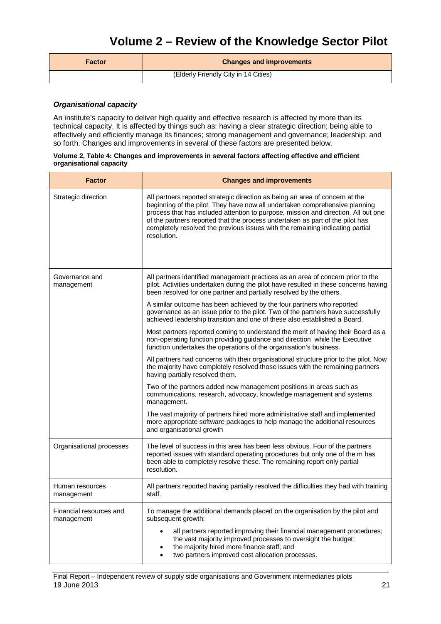| <b>Factor</b> | <b>Changes and improvements</b>      |  |
|---------------|--------------------------------------|--|
|               | (Elderly Friendly City in 14 Cities) |  |

#### *Organisational capacity*

An institute's capacity to deliver high quality and effective research is affected by more than its technical capacity. It is affected by things such as: having a clear strategic direction; being able to effectively and efficiently manage its finances; strong management and governance; leadership; and so forth. Changes and improvements in several of these factors are presented below.

#### **Volume 2, Table 4: Changes and improvements in several factors affecting effective and efficient organisational capacity**

| <b>Factor</b>                         | <b>Changes and improvements</b>                                                                                                                                                                                                                                                                                                                                                                                                    |  |  |
|---------------------------------------|------------------------------------------------------------------------------------------------------------------------------------------------------------------------------------------------------------------------------------------------------------------------------------------------------------------------------------------------------------------------------------------------------------------------------------|--|--|
| Strategic direction                   | All partners reported strategic direction as being an area of concern at the<br>beginning of the pilot. They have now all undertaken comprehensive planning<br>process that has included attention to purpose, mission and direction. All but one<br>of the partners reported that the process undertaken as part of the pilot has<br>completely resolved the previous issues with the remaining indicating partial<br>resolution. |  |  |
| Governance and<br>management          | All partners identified management practices as an area of concern prior to the<br>pilot. Activities undertaken during the pilot have resulted in these concerns having<br>been resolved for one partner and partially resolved by the others.                                                                                                                                                                                     |  |  |
|                                       | A similar outcome has been achieved by the four partners who reported<br>governance as an issue prior to the pilot. Two of the partners have successfully<br>achieved leadership transition and one of these also established a Board.                                                                                                                                                                                             |  |  |
|                                       | Most partners reported coming to understand the merit of having their Board as a<br>non-operating function providing guidance and direction while the Executive<br>function undertakes the operations of the organisation's business.                                                                                                                                                                                              |  |  |
|                                       | All partners had concerns with their organisational structure prior to the pilot. Now<br>the majority have completely resolved those issues with the remaining partners<br>having partially resolved them.                                                                                                                                                                                                                         |  |  |
|                                       | Two of the partners added new management positions in areas such as<br>communications, research, advocacy, knowledge management and systems<br>management.                                                                                                                                                                                                                                                                         |  |  |
|                                       | The vast majority of partners hired more administrative staff and implemented<br>more appropriate software packages to help manage the additional resources<br>and organisational growth                                                                                                                                                                                                                                           |  |  |
| Organisational processes              | The level of success in this area has been less obvious. Four of the partners<br>reported issues with standard operating procedures but only one of the m has<br>been able to completely resolve these. The remaining report only partial<br>resolution.                                                                                                                                                                           |  |  |
| Human resources<br>management         | All partners reported having partially resolved the difficulties they had with training<br>staff.                                                                                                                                                                                                                                                                                                                                  |  |  |
| Financial resources and<br>management | To manage the additional demands placed on the organisation by the pilot and<br>subsequent growth:                                                                                                                                                                                                                                                                                                                                 |  |  |
|                                       | all partners reported improving their financial management procedures;<br>the vast majority improved processes to oversight the budget;<br>the majority hired more finance staff; and<br>two partners improved cost allocation processes.                                                                                                                                                                                          |  |  |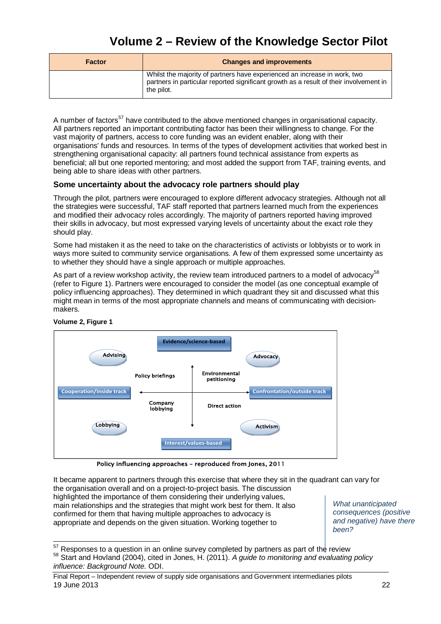| <b>Factor</b> | <b>Changes and improvements</b>                                                                                                                                                   |  |
|---------------|-----------------------------------------------------------------------------------------------------------------------------------------------------------------------------------|--|
|               | Whilst the majority of partners have experienced an increase in work, two<br>partners in particular reported significant growth as a result of their involvement in<br>the pilot. |  |

A number of factors<sup>[57](#page-30-1)</sup> have contributed to the above mentioned changes in organisational capacity. All partners reported an important contributing factor has been their willingness to change. For the vast majority of partners, access to core funding was an evident enabler, along with their organisations' funds and resources. In terms of the types of development activities that worked best in strengthening organisational capacity: all partners found technical assistance from experts as beneficial; all but one reported mentoring; and most added the support from TAF, training events, and being able to share ideas with other partners.

### <span id="page-30-0"></span>**Some uncertainty about the advocacy role partners should play**

Through the pilot, partners were encouraged to explore different advocacy strategies. Although not all the strategies were successful, TAF staff reported that partners learned much from the experiences and modified their advocacy roles accordingly. The majority of partners reported having improved their skills in advocacy, but most expressed varying levels of uncertainty about the exact role they should play.

Some had mistaken it as the need to take on the characteristics of activists or lobbyists or to work in ways more suited to community service organisations. A few of them expressed some uncertainty as to whether they should have a single approach or multiple approaches.

As part of a review workshop activity, the review team introduced partners to a model of advocacy<sup>[58](#page-30-2)</sup> (refer to Figure 1). Partners were encouraged to consider the model (as one conceptual example of policy influencing approaches). They determined in which quadrant they sit and discussed what this might mean in terms of the most appropriate channels and means of communicating with decisionmakers.



### **Volume 2, Figure 1**

Policy influencing approaches – reproduced from Jones, 2011

It became apparent to partners through this exercise that where they sit in the quadrant can vary for the organisation overall and on a project-to-project basis. The discussion highlighted the importance of them considering their underlying values, main relationships and the strategies that might work best for them. It also confirmed for them that having multiple approaches to advocacy is appropriate and depends on the given situation. Working together to

*What unanticipated consequences (positive and negative) have there been?* 

<span id="page-30-1"></span><sup>&</sup>lt;sup>57</sup> Responses to a question in an online survey completed by partners as part of the review 58 Start and Hovland (2004), cited in Jones, H. (2011). *A guide to monitoring and evaluating policy* 

<span id="page-30-2"></span>*influence: Background Note.* ODI.

Final Report – Independent review of supply side organisations and Government intermediaries pilots 19 June 2013 22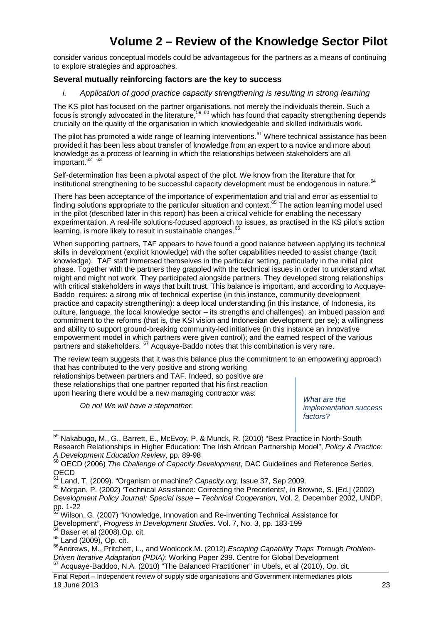consider various conceptual models could be advantageous for the partners as a means of continuing to explore strategies and approaches.

### <span id="page-31-0"></span>**Several mutually reinforcing factors are the key to success**

*i.* Application of good practice capacity strengthening is resulting in strong learning

The KS pilot has focused on the partner organisations, not merely the individuals therein. Such a focus is strongly advocated in the literature,<sup>[59](#page-31-1) [60](#page-31-2)</sup> which has found that capacity strengthening depends crucially on the quality of the organisation in which knowledgeable and skilled individuals work.

The pilot has promoted a wide range of learning interventions.<sup>[61](#page-31-3)</sup> Where technical assistance has been provided it has been less about transfer of knowledge from an expert to a novice and more about knowledge as a process of learning in which the relationships between stakeholders are all  $important<sup>62</sup>$  $important<sup>62</sup>$  $important<sup>62</sup>$ <sup>[63](#page-31-5)</sup>

Self-determination has been a pivotal aspect of the pilot. We know from the literature that for institutional strengthening to be successful capacity development must be endogenous in nature.<sup>[64](#page-31-6)</sup>

There has been acceptance of the importance of experimentation and trial and error as essential to finding solutions appropriate to the particular situation and context.<sup>[65](#page-31-7)</sup> The action learning model used in the pilot (described later in this report) has been a critical vehicle for enabling the necessary experimentation. A real-life solutions-focused approach to issues, as practised in the KS pilot's action learning, is more likely to result in sustainable changes.

When supporting partners, TAF appears to have found a good balance between applying its technical skills in development (explicit knowledge) with the softer capabilities needed to assist change (tacit knowledge). TAF staff immersed themselves in the particular setting, particularly in the initial pilot phase. Together with the partners they grappled with the technical issues in order to understand what might and might not work. They participated alongside partners. They developed strong relationships with critical stakeholders in ways that built trust. This balance is important, and according to Acquaye-Baddo requires: a strong mix of technical expertise (in this instance, community development practice and capacity strengthening): a deep local understanding (in this instance, of Indonesia, its culture, language, the local knowledge sector – its strengths and challenges); an imbued passion and commitment to the reforms (that is, the KSI vision and Indonesian development per se); a willingness and ability to support ground-breaking community-led initiatives (in this instance an innovative empowerment model in which partners were given control); and the earned respect of the various partners and stakeholders. <sup>[67](#page-31-9)</sup> Acquaye-Baddo notes that this combination is very rare.

The review team suggests that it was this balance plus the commitment to an empowering approach that has contributed to the very positive and strong working

relationships between partners and TAF. Indeed, so positive are these relationships that one partner reported that his first reaction upon hearing there would be a new managing contractor was:

*Oh no! We will have a stepmother.* 

*What are the implementation success factors?* 

<span id="page-31-1"></span><sup>59</sup> Nakabugo, M., G., Barrett, E., McEvoy, P. & Munck, R. (2010) "Best Practice in North-South Research Relationships in Higher Education: The Irish African Partnership Model", *Policy & Practice: A Development Education Review*, pp. 89-98

<span id="page-31-2"></span><sup>60</sup> OECD (2006) *The Challenge of Capacity Development*, DAC Guidelines and Reference Series, OECD

<sup>61</sup> Land, T. (2009). "Organism or machine? *Capacity.org.* Issue 37, Sep 2009.

<span id="page-31-4"></span><span id="page-31-3"></span><sup>&</sup>lt;sup>62</sup> Morgan, P. (2002) 'Technical Assistance: Correcting the Precedents', in Browne, S. [Ed.] (2002) *Development Policy Journal: Special Issue – Technical Cooperation*, Vol. 2, December 2002, UNDP, pp. 1-22

<span id="page-31-5"></span><sup>63</sup> Wilson, G. (2007) "Knowledge, Innovation and Re-inventing Technical Assistance for Development", *Progress in Development Studies*. Vol. 7, No. 3, pp. 183-199

<span id="page-31-8"></span>

<span id="page-31-7"></span><span id="page-31-6"></span><sup>65</sup> Land (2009), Op. cit.<br><sup>66</sup> Land (2009), Op. cit.<br><sup>66</sup>Andrews, M., Pritchett, L., and Woolcock.M. (2012).*Escaping Capability Traps Through Problem-*<br>*Driven Iterative Adaptation (PDIA)*: Working Paper 299. Centre for Gl <sup>67</sup> Acquave-Baddoo, N.A. (2010) "The Balanced Practitioner" in Ubels, et al (2010), Op. cit.

<span id="page-31-9"></span>Final Report – Independent review of supply side organisations and Government intermediaries pilots 19 June 2013 23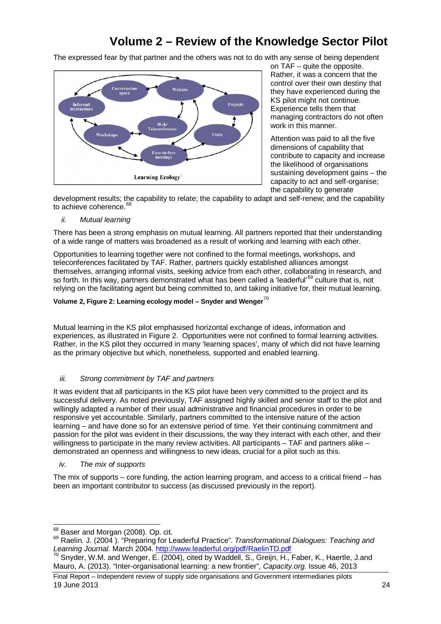The expressed fear by that partner and the others was not to do with any sense of being dependent



on TAF – quite the opposite. Rather, it was a concern that the control over their own destiny that they have experienced during the KS pilot might not continue. Experience tells them that managing contractors do not often work in this manner.

Attention was paid to all the five dimensions of capability that contribute to capacity and increase the likelihood of organisations sustaining development gains – the capacity to act and self-organise; the capability to generate

development results; the capability to relate; the capability to adapt and self-renew; and the capability to achieve coherence.<sup>[68](#page-32-0)</sup>

*ii. Mutual learning*

There has been a strong emphasis on mutual learning. All partners reported that their understanding of a wide range of matters was broadened as a result of working and learning with each other.

Opportunities to learning together were not confined to the formal meetings, workshops, and teleconferences facilitated by TAF. Rather, partners quickly established alliances amongst themselves, arranging informal visits, seeking advice from each other, collaborating in research, and so forth. In this way, partners demonstrated what has been called a 'leaderful'<sup>[69](#page-32-1)</sup> culture that is, not relying on the facilitating agent but being committed to, and taking initiative for, their mutual learning.

### **Volume 2, Figure 2: Learning ecology model – Snyder and Wenger**[70](#page-32-2)

Mutual learning in the KS pilot emphasised horizontal exchange of ideas, information and experiences, as illustrated in Figure 2. Opportunities were not confined to formal learning activities. Rather, in the KS pilot they occurred in many 'learning spaces', many of which did not have learning as the primary objective but which, nonetheless, supported and enabled learning.

### *iii. Strong commitment by TAF and partners*

It was evident that all participants in the KS pilot have been very committed to the project and its successful delivery. As noted previously, TAF assigned highly skilled and senior staff to the pilot and willingly adapted a number of their usual administrative and financial procedures in order to be responsive yet accountable. Similarly, partners committed to the intensive nature of the action learning – and have done so for an extensive period of time. Yet their continuing commitment and passion for the pilot was evident in their discussions, the way they interact with each other, and their willingness to participate in the many review activities. All participants – TAF and partners alike – demonstrated an openness and willingness to new ideas, crucial for a pilot such as this.

*iv. The mix of supports*

The mix of supports – core funding, the action learning program, and access to a critical friend – has been an important contributor to success (as discussed previously in the report).

<span id="page-32-1"></span><span id="page-32-0"></span><sup>&</sup>lt;sup>68</sup> Baser and Morgan (2008). Op. cit.<br><sup>69</sup> Raelin. J. (2004 ). "Preparing for Leaderful Practice". *Transformational Dialogues: Teaching and*<br>Learning Journal. March 2004. http://www.leaderful.org/pdf/RaelinTD.pdf <sup>70</sup> Snyder. W.M. and Wenger, E. (2004), cited by Waddell, S., Greijn, H., Faber, K., Haertle, J.and

<span id="page-32-2"></span>Mauro, A. (2013). "Inter-organisational learning: a new frontier", *Capacity.org.* Issue 46, 2013

Final Report – Independent review of supply side organisations and Government intermediaries pilots 19 June 2013 24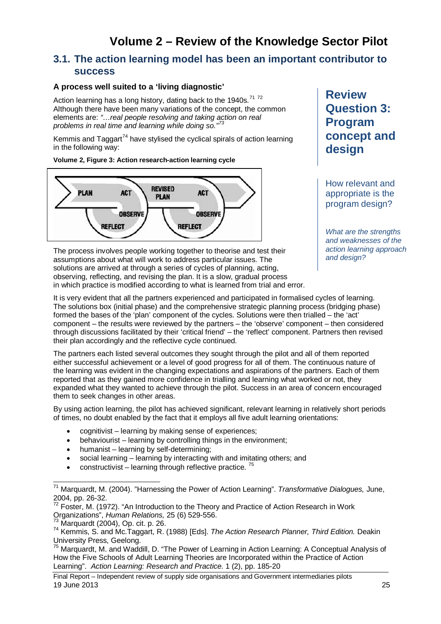### <span id="page-33-0"></span>**3.1. The action learning model has been an important contributor to success**

### <span id="page-33-1"></span>**A process well suited to a 'living diagnostic'**

Action learning has a long history, dating back to the 1940s.<sup>[71](#page-33-2)</sup>  $72$ Although there have been many variations of the concept, the common elements are: *"…real people resolving and taking action on real problems in real time and learning while doing so."[73](#page-33-4)*

Kemmis and Taggart<sup> $74$ </sup> have stylised the cyclical spirals of action learning in the following way:

**Volume 2, Figure 3: Action research-action learning cycle**



**Review Question 3: Program concept and design**

How relevant and appropriate is the program design?

*What are the strengths and weaknesses of the action learning approach and design?* 

The process involves people working together to theorise and test their assumptions about what will work to address particular issues. The solutions are arrived at through a series of cycles of planning, acting, observing, reflecting, and revising the plan. It is a slow, gradual process in which practice is modified according to what is learned from trial and error.

It is very evident that all the partners experienced and participated in formalised cycles of learning. The solutions box (initial phase) and the comprehensive strategic planning process (bridging phase) formed the bases of the 'plan' component of the cycles. Solutions were then trialled – the 'act' component – the results were reviewed by the partners – the 'observe' component – then considered through discussions facilitated by their 'critical friend' – the 'reflect' component. Partners then revised their plan accordingly and the reflective cycle continued.

The partners each listed several outcomes they sought through the pilot and all of them reported either successful achievement or a level of good progress for all of them. The continuous nature of the learning was evident in the changing expectations and aspirations of the partners. Each of them reported that as they gained more confidence in trialling and learning what worked or not, they expanded what they wanted to achieve through the pilot. Success in an area of concern encouraged them to seek changes in other areas.

By using action learning, the pilot has achieved significant, relevant learning in relatively short periods of times, no doubt enabled by the fact that it employs all five adult learning orientations:

- cognitivist learning by making sense of experiences;
- behaviourist learning by controlling things in the environment;
- humanist learning by self-determining;
- social learning learning by interacting with and imitating others; and
- constructivist learning through reflective practice. [75](#page-33-6)

<span id="page-33-2"></span> <sup>71</sup> Marquardt, M. (2004). "Harnessing the Power of Action Learning". *Transformative Dialogues,* June, 2004, pp. 26-32.

<span id="page-33-3"></span> $72$  Foster, M. (1972). "An Introduction to the Theory and Practice of Action Research in Work Organizations", *Human Relations, 25* (6) 529-556.<br><sup>73</sup> Marguardt (2004), Op. cit. p. 26.

<span id="page-33-5"></span><span id="page-33-4"></span><sup>74</sup> Kemmis, S. and Mc.Taggart, R. (1988) [Eds]. *The Action Research Planner, Third Edition.* Deakin<br>University Press, Geelong.<br><sup>75</sup> Marques the Mc. (1998) [1999].

<span id="page-33-6"></span>University Press, Geelong. 75 Marquardt, M. and Waddill, D. "The Power of Learning in Action Learning: A Conceptual Analysis of How the Five Schools of Adult Learning Theories are Incorporated within the Practice of Action Learning". *Action Learning: Research and Practice*. 1 (2), pp. 185-20

Final Report – Independent review of supply side organisations and Government intermediaries pilots 19 June 2013 25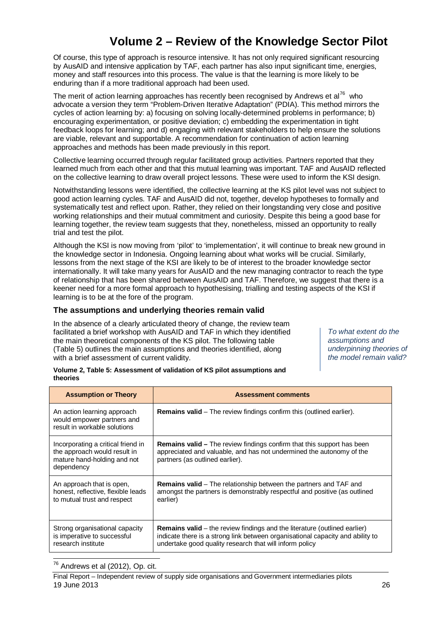Of course, this type of approach is resource intensive. It has not only required significant resourcing by AusAID and intensive application by TAF, each partner has also input significant time, energies, money and staff resources into this process. The value is that the learning is more likely to be enduring than if a more traditional approach had been used.

The merit of action learning approaches has recently been recognised by Andrews et al<sup>[76](#page-34-1)</sup> who advocate a version they term "Problem-Driven Iterative Adaptation" (PDIA). This method mirrors the cycles of action learning by: a) focusing on solving locally-determined problems in performance; b) encouraging experimentation, or positive deviation; c) embedding the experimentation in tight feedback loops for learning; and d) engaging with relevant stakeholders to help ensure the solutions are viable, relevant and supportable. A recommendation for continuation of action learning approaches and methods has been made previously in this report.

Collective learning occurred through regular facilitated group activities. Partners reported that they learned much from each other and that this mutual learning was important. TAF and AusAID reflected on the collective learning to draw overall project lessons. These were used to inform the KSI design.

Notwithstanding lessons were identified, the collective learning at the KS pilot level was not subject to good action learning cycles. TAF and AusAID did not, together, develop hypotheses to formally and systematically test and reflect upon. Rather, they relied on their longstanding very close and positive working relationships and their mutual commitment and curiosity. Despite this being a good base for learning together, the review team suggests that they, nonetheless, missed an opportunity to really trial and test the pilot.

Although the KSI is now moving from 'pilot' to 'implementation', it will continue to break new ground in the knowledge sector in Indonesia. Ongoing learning about what works will be crucial. Similarly, lessons from the next stage of the KSI are likely to be of interest to the broader knowledge sector internationally. It will take many years for AusAID and the new managing contractor to reach the type of relationship that has been shared between AusAID and TAF. Therefore, we suggest that there is a keener need for a more formal approach to hypothesising, trialling and testing aspects of the KSI if learning is to be at the fore of the program.

### <span id="page-34-0"></span>**The assumptions and underlying theories remain valid**

In the absence of a clearly articulated theory of change, the review team facilitated a brief workshop with AusAID and TAF in which they identified the main theoretical components of the KS pilot. The following table (Table 5) outlines the main assumptions and theories identified, along with a brief assessment of current validity.

*To what extent do the assumptions and underpinning theories of the model remain valid?* 

#### **Volume 2, Table 5: Assessment of validation of KS pilot assumptions and theories**

| <b>Assumption or Theory</b>                                                                                     | <b>Assessment comments</b>                                                                                                                                                                                                    |  |
|-----------------------------------------------------------------------------------------------------------------|-------------------------------------------------------------------------------------------------------------------------------------------------------------------------------------------------------------------------------|--|
| An action learning approach<br>would empower partners and<br>result in workable solutions                       | <b>Remains valid</b> – The review findings confirm this (outlined earlier).                                                                                                                                                   |  |
| Incorporating a critical friend in<br>the approach would result in<br>mature hand-holding and not<br>dependency | <b>Remains valid</b> – The review findings confirm that this support has been<br>appreciated and valuable, and has not undermined the autonomy of the<br>partners (as outlined earlier).                                      |  |
| An approach that is open,<br>honest, reflective, flexible leads<br>to mutual trust and respect                  | <b>Remains valid</b> – The relationship between the partners and TAF and<br>amongst the partners is demonstrably respectful and positive (as outlined<br>earlier)                                                             |  |
| Strong organisational capacity<br>is imperative to successful<br>research institute                             | <b>Remains valid</b> – the review findings and the literature (outlined earlier)<br>indicate there is a strong link between organisational capacity and ability to<br>undertake good quality research that will inform policy |  |

<span id="page-34-1"></span> $76$  Andrews et al (2012), Op. cit.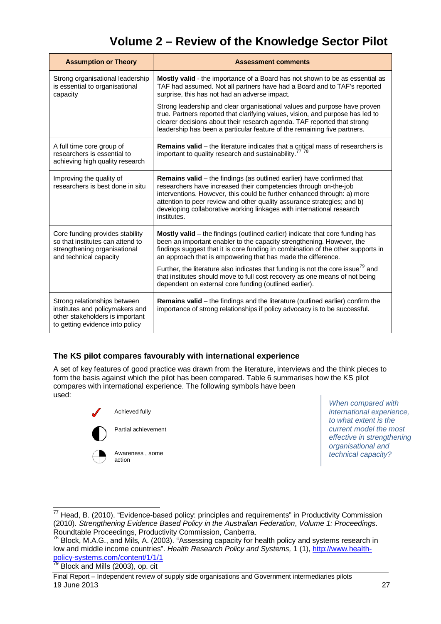| <b>Assumption or Theory</b>                                                                                                           | <b>Assessment comments</b>                                                                                                                                                                                                                                                                                                                                                                      |  |
|---------------------------------------------------------------------------------------------------------------------------------------|-------------------------------------------------------------------------------------------------------------------------------------------------------------------------------------------------------------------------------------------------------------------------------------------------------------------------------------------------------------------------------------------------|--|
| Strong organisational leadership<br>is essential to organisational<br>capacity                                                        | <b>Mostly valid</b> - the importance of a Board has not shown to be as essential as<br>TAF had assumed. Not all partners have had a Board and to TAF's reported<br>surprise, this has not had an adverse impact.                                                                                                                                                                                |  |
|                                                                                                                                       | Strong leadership and clear organisational values and purpose have proven<br>true. Partners reported that clarifying values, vision, and purpose has led to<br>clearer decisions about their research agenda. TAF reported that strong<br>leadership has been a particular feature of the remaining five partners.                                                                              |  |
| A full time core group of<br>researchers is essential to<br>achieving high quality research                                           | <b>Remains valid</b> – the literature indicates that a critical mass of researchers is<br>important to quality research and sustainability. <sup>77</sup> <sup>78</sup>                                                                                                                                                                                                                         |  |
| Improving the quality of<br>researchers is best done in situ                                                                          | <b>Remains valid</b> – the findings (as outlined earlier) have confirmed that<br>researchers have increased their competencies through on-the-job<br>interventions. However, this could be further enhanced through: a) more<br>attention to peer review and other quality assurance strategies; and b)<br>developing collaborative working linkages with international research<br>institutes. |  |
| Core funding provides stability<br>so that institutes can attend to<br>strengthening organisational<br>and technical capacity         | Mostly valid - the findings (outlined earlier) indicate that core funding has<br>been an important enabler to the capacity strengthening. However, the<br>findings suggest that it is core funding in combination of the other supports in<br>an approach that is empowering that has made the difference.                                                                                      |  |
|                                                                                                                                       | Further, the literature also indicates that funding is not the core issue <sup>79</sup> and<br>that institutes should move to full cost recovery as one means of not being<br>dependent on external core funding (outlined earlier).                                                                                                                                                            |  |
| Strong relationships between<br>institutes and policymakers and<br>other stakeholders is important<br>to getting evidence into policy | <b>Remains valid</b> – the findings and the literature (outlined earlier) confirm the<br>importance of strong relationships if policy advocacy is to be successful.                                                                                                                                                                                                                             |  |

### <span id="page-35-0"></span>**The KS pilot compares favourably with international experience**

A set of key features of good practice was drawn from the literature, interviews and the think pieces to form the basis against which the pilot has been compared. Table 6 summarises how the KS pilot compares with international experience. The following symbols have been used:



Partial achievement

*When compared with international experience, to what extent is the current model the most effective in strengthening organisational and technical capacity?* 

<span id="page-35-1"></span> $\overline{77}$  Head, B. (2010). "Evidence-based policy: principles and requirements" in Productivity Commission (2010). *Strengthening Evidence Based Policy in the Australian Federation*, *Volume 1: Proceedings*. Roundtable Proceedings, Productivity Commission, Canberra.

<span id="page-35-2"></span><sup>&</sup>lt;sup>78</sup> Block, M.A.G., and Mils, A. (2003). "Assessing capacity for health policy and systems research in low and middle income countries". *Health Research Policy and Systems,* 1 (1), [http://www.health](http://www.health-policy-systems.com/content/1/1/1)[policy-systems.com/content/1/1/1](http://www.health-policy-systems.com/content/1/1/1)<br><sup>79</sup> Block and Mills (2003), op. cit

<span id="page-35-3"></span>Final Report – Independent review of supply side organisations and Government intermediaries pilots 19 June 2013 27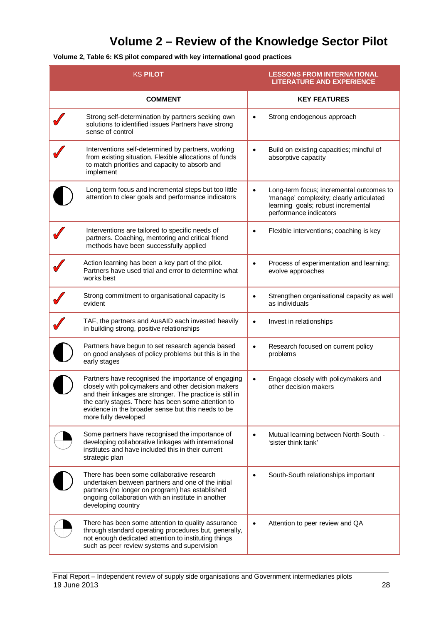### **Volume 2, Table 6: KS pilot compared with key international good practices**

| <b>KS PILOT</b>                                                                                                                                                                                                                                                                                             |           | <b>LESSONS FROM INTERNATIONAL</b><br><b>LITERATURE AND EXPERIENCE</b>                                                                                |
|-------------------------------------------------------------------------------------------------------------------------------------------------------------------------------------------------------------------------------------------------------------------------------------------------------------|-----------|------------------------------------------------------------------------------------------------------------------------------------------------------|
| <b>COMMENT</b>                                                                                                                                                                                                                                                                                              |           | <b>KEY FEATURES</b>                                                                                                                                  |
| Strong self-determination by partners seeking own<br>solutions to identified issues Partners have strong<br>sense of control                                                                                                                                                                                | $\bullet$ | Strong endogenous approach                                                                                                                           |
| Interventions self-determined by partners, working<br>from existing situation. Flexible allocations of funds<br>to match priorities and capacity to absorb and<br>implement                                                                                                                                 | $\bullet$ | Build on existing capacities; mindful of<br>absorptive capacity                                                                                      |
| Long term focus and incremental steps but too little<br>attention to clear goals and performance indicators                                                                                                                                                                                                 | $\bullet$ | Long-term focus; incremental outcomes to<br>'manage' complexity; clearly articulated<br>learning goals; robust incremental<br>performance indicators |
| Interventions are tailored to specific needs of<br>partners. Coaching, mentoring and critical friend<br>methods have been successfully applied                                                                                                                                                              | $\bullet$ | Flexible interventions; coaching is key                                                                                                              |
| Action learning has been a key part of the pilot.<br>Partners have used trial and error to determine what<br>works best                                                                                                                                                                                     |           | Process of experimentation and learning;<br>evolve approaches                                                                                        |
| Strong commitment to organisational capacity is<br>evident                                                                                                                                                                                                                                                  | $\bullet$ | Strengthen organisational capacity as well<br>as individuals                                                                                         |
| TAF, the partners and AusAID each invested heavily<br>in building strong, positive relationships                                                                                                                                                                                                            | $\bullet$ | Invest in relationships                                                                                                                              |
| Partners have begun to set research agenda based<br>on good analyses of policy problems but this is in the<br>early stages                                                                                                                                                                                  | $\bullet$ | Research focused on current policy<br>problems                                                                                                       |
| Partners have recognised the importance of engaging<br>closely with policymakers and other decision makers<br>and their linkages are stronger. The practice is still in<br>the early stages. There has been some attention to<br>evidence in the broader sense but this needs to be<br>more fully developed | $\bullet$ | Engage closely with policymakers and<br>other decision makers                                                                                        |
| Some partners have recognised the importance of<br>developing collaborative linkages with international<br>institutes and have included this in their current<br>strategic plan                                                                                                                             |           | Mutual learning between North-South -<br>'sister think tank'                                                                                         |
| There has been some collaborative research<br>undertaken between partners and one of the initial<br>partners (no longer on program) has established<br>ongoing collaboration with an institute in another<br>developing country                                                                             |           | South-South relationships important                                                                                                                  |
| There has been some attention to quality assurance<br>through standard operating procedures but, generally,<br>not enough dedicated attention to instituting things<br>such as peer review systems and supervision                                                                                          | $\bullet$ | Attention to peer review and QA                                                                                                                      |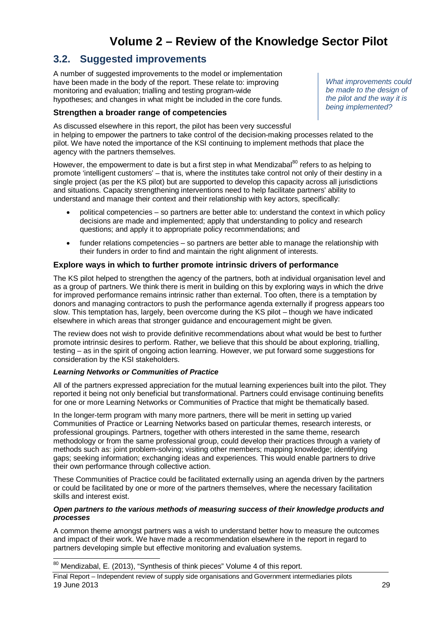### <span id="page-37-0"></span>**3.2. Suggested improvements**

A number of suggested improvements to the model or implementation have been made in the body of the report. These relate to: improving monitoring and evaluation; trialling and testing program-wide hypotheses; and changes in what might be included in the core funds.

### <span id="page-37-1"></span>**Strengthen a broader range of competencies**

*What improvements could be made to the design of the pilot and the way it is being implemented?* 

As discussed elsewhere in this report, the pilot has been very successful in helping to empower the partners to take control of the decision-making processes related to the pilot. We have noted the importance of the KSI continuing to implement methods that place the agency with the partners themselves.

However, the empowerment to date is but a first step in what Mendizabal<sup>[80](#page-37-3)</sup> refers to as helping to promote 'intelligent customers' – that is, where the institutes take control not only of their destiny in a single project (as per the KS pilot) but are supported to develop this capacity across all jurisdictions and situations. Capacity strengthening interventions need to help facilitate partners' ability to understand and manage their context and their relationship with key actors, specifically:

- political competencies so partners are better able to: understand the context in which policy decisions are made and implemented; apply that understanding to policy and research questions; and apply it to appropriate policy recommendations; and
- funder relations competencies so partners are better able to manage the relationship with their funders in order to find and maintain the right alignment of interests.

### <span id="page-37-2"></span>**Explore ways in which to further promote intrinsic drivers of performance**

The KS pilot helped to strengthen the agency of the partners, both at individual organisation level and as a group of partners. We think there is merit in building on this by exploring ways in which the drive for improved performance remains intrinsic rather than external. Too often, there is a temptation by donors and managing contractors to push the performance agenda externally if progress appears too slow. This temptation has, largely, been overcome during the KS pilot – though we have indicated elsewhere in which areas that stronger guidance and encouragement might be given.

The review does not wish to provide definitive recommendations about what would be best to further promote intrinsic desires to perform. Rather, we believe that this should be about exploring, trialling, testing – as in the spirit of ongoing action learning. However, we put forward some suggestions for consideration by the KSI stakeholders.

### *Learning Networks or Communities of Practice*

All of the partners expressed appreciation for the mutual learning experiences built into the pilot. They reported it being not only beneficial but transformational. Partners could envisage continuing benefits for one or more Learning Networks or Communities of Practice that might be thematically based.

In the longer-term program with many more partners, there will be merit in setting up varied Communities of Practice or Learning Networks based on particular themes, research interests, or professional groupings. Partners, together with others interested in the same theme, research methodology or from the same professional group, could develop their practices through a variety of methods such as: joint problem-solving; visiting other members; mapping knowledge; identifying gaps; seeking information; exchanging ideas and experiences. This would enable partners to drive their own performance through collective action.

These Communities of Practice could be facilitated externally using an agenda driven by the partners or could be facilitated by one or more of the partners themselves, where the necessary facilitation skills and interest exist.

#### *Open partners to the various methods of measuring success of their knowledge products and processes*

A common theme amongst partners was a wish to understand better how to measure the outcomes and impact of their work. We have made a recommendation elsewhere in the report in regard to partners developing simple but effective monitoring and evaluation systems.

<span id="page-37-3"></span> $80$  Mendizabal, E. (2013), "Synthesis of think pieces" Volume 4 of this report.

Final Report – Independent review of supply side organisations and Government intermediaries pilots 19 June 2013 29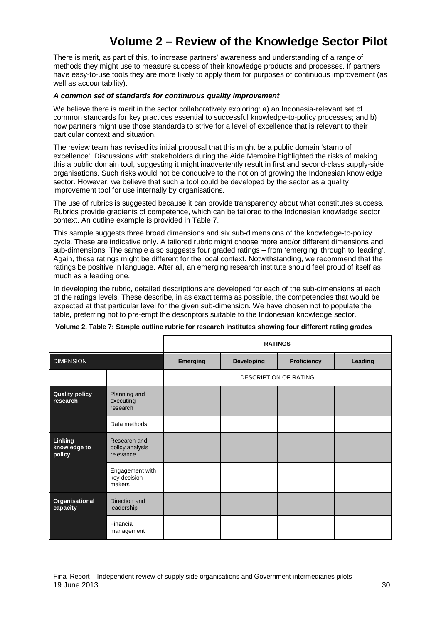There is merit, as part of this, to increase partners' awareness and understanding of a range of methods they might use to measure success of their knowledge products and processes. If partners have easy-to-use tools they are more likely to apply them for purposes of continuous improvement (as well as accountability).

#### *A common set of standards for continuous quality improvement*

We believe there is merit in the sector collaboratively exploring: a) an Indonesia-relevant set of common standards for key practices essential to successful knowledge-to-policy processes; and b) how partners might use those standards to strive for a level of excellence that is relevant to their particular context and situation.

The review team has revised its initial proposal that this might be a public domain 'stamp of excellence'. Discussions with stakeholders during the Aide Memoire highlighted the risks of making this a public domain tool, suggesting it might inadvertently result in first and second-class supply-side organisations. Such risks would not be conducive to the notion of growing the Indonesian knowledge sector. However, we believe that such a tool could be developed by the sector as a quality improvement tool for use internally by organisations.

The use of rubrics is suggested because it can provide transparency about what constitutes success. Rubrics provide gradients of competence, which can be tailored to the Indonesian knowledge sector context. An outline example is provided in Table 7.

This sample suggests three broad dimensions and six sub-dimensions of the knowledge-to-policy cycle. These are indicative only. A tailored rubric might choose more and/or different dimensions and sub-dimensions. The sample also suggests four graded ratings – from 'emerging' through to 'leading'. Again, these ratings might be different for the local context. Notwithstanding, we recommend that the ratings be positive in language. After all, an emerging research institute should feel proud of itself as much as a leading one.

In developing the rubric, detailed descriptions are developed for each of the sub-dimensions at each of the ratings levels. These describe, in as exact terms as possible, the competencies that would be expected at that particular level for the given sub-dimension. We have chosen not to populate the table, preferring not to pre-empt the descriptors suitable to the Indonesian knowledge sector.

|                                   |                                              | <b>RATINGS</b>               |            |             |         |  |  |
|-----------------------------------|----------------------------------------------|------------------------------|------------|-------------|---------|--|--|
| <b>DIMENSION</b>                  |                                              | <b>Emerging</b>              | Developing | Proficiency | Leading |  |  |
|                                   |                                              | <b>DESCRIPTION OF RATING</b> |            |             |         |  |  |
| <b>Quality policy</b><br>research | Planning and<br>executing<br>research        |                              |            |             |         |  |  |
|                                   | Data methods                                 |                              |            |             |         |  |  |
| Linking<br>knowledge to<br>policy | Research and<br>policy analysis<br>relevance |                              |            |             |         |  |  |
|                                   | Engagement with<br>key decision<br>makers    |                              |            |             |         |  |  |
| Organisational<br>capacity        | Direction and<br>leadership                  |                              |            |             |         |  |  |
|                                   | Financial<br>management                      |                              |            |             |         |  |  |

#### **Volume 2, Table 7: Sample outline rubric for research institutes showing four different rating grades**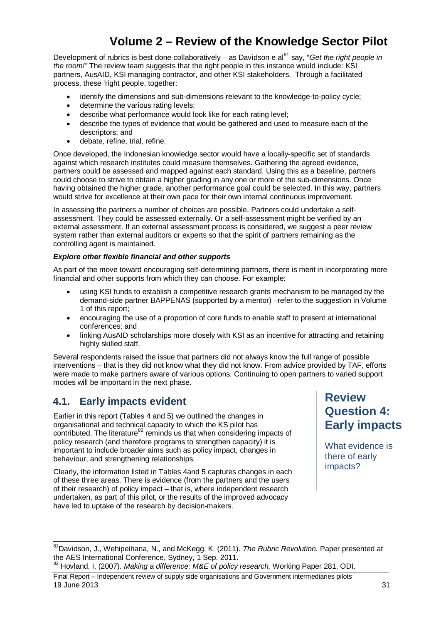Development of rubrics is best done collaboratively – as Davidson e al<sup>[81](#page-39-1)</sup> say, "*Get the right people in the room!"* The review team suggests that the right people in this instance would include: KSI partners, AusAID, KSI managing contractor, and other KSI stakeholders. Through a facilitated process, these 'right people, together:

- identify the dimensions and sub-dimensions relevant to the knowledge-to-policy cycle;
- determine the various rating levels;
- describe what performance would look like for each rating level;
- describe the types of evidence that would be gathered and used to measure each of the descriptors; and
- debate, refine, trial, refine.

Once developed, the Indonesian knowledge sector would have a locally-specific set of standards against which research institutes could measure themselves. Gathering the agreed evidence, partners could be assessed and mapped against each standard. Using this as a baseline, partners could choose to strive to obtain a higher grading in any one or more of the sub-dimensions. Once having obtained the higher grade, another performance goal could be selected. In this way, partners would strive for excellence at their own pace for their own internal continuous improvement.

In assessing the partners a number of choices are possible. Partners could undertake a selfassessment. They could be assessed externally. Or a self-assessment might be verified by an external assessment. If an external assessment process is considered, we suggest a peer review system rather than external auditors or experts so that the spirit of partners remaining as the controlling agent is maintained.

### *Explore other flexible financial and other supports*

As part of the move toward encouraging self-determining partners, there is merit in incorporating more financial and other supports from which they can choose. For example:

- using KSI funds to establish a competitive research grants mechanism to be managed by the demand-side partner BAPPENAS (supported by a mentor) –refer to the suggestion in Volume 1 of this report;
- encouraging the use of a proportion of core funds to enable staff to present at international conferences; and
- linking AusAID scholarships more closely with KSI as an incentive for attracting and retaining highly skilled staff.

Several respondents raised the issue that partners did not always know the full range of possible interventions – that is they did not know what they did not know. From advice provided by TAF, efforts were made to make partners aware of various options. Continuing to open partners to varied support modes will be important in the next phase.

### <span id="page-39-0"></span>**4.1. Early impacts evident**

Earlier in this report (Tables 4 and 5) we outlined the changes in organisational and technical capacity to which the KS pilot has contributed. The literature $^{82}$  $^{82}$  $^{82}$  reminds us that when considering impacts of policy research (and therefore programs to strengthen capacity) it is important to include broader aims such as policy impact, changes in behaviour, and strengthening relationships.

Clearly, the information listed in Tables 4and 5 captures changes in each of these three areas. There is evidence (from the partners and the users of their research) of policy impact – that is, where independent research undertaken, as part of this pilot, or the results of the improved advocacy have led to uptake of the research by decision-makers.

### **Review Question 4: Early impacts**

What evidence is there of early impacts?

<span id="page-39-1"></span> <sup>81</sup>Davidson, J., Wehipeihana, N., and McKegg, K. (2011). *The Rubric Revolution.* Paper presented at the AES International Conference, Sydney, 1 Sep. 2011.

<span id="page-39-2"></span><sup>82</sup> Hovland, I. (2007). *Making a difference: M&E of policy research.* Working Paper 281, ODI.

Final Report – Independent review of supply side organisations and Government intermediaries pilots 19 June 2013 **31 September 2013** 31 September 2013 19 June 2013 19 June 2013 19 June 2013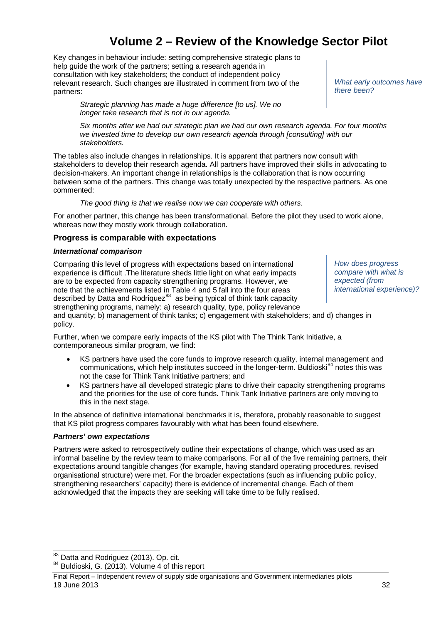Key changes in behaviour include: setting comprehensive strategic plans to help guide the work of the partners; setting a research agenda in consultation with key stakeholders; the conduct of independent policy relevant research. Such changes are illustrated in comment from two of the partners:

> *Strategic planning has made a huge difference [to us]. We no longer take research that is not in our agenda.*

*Six months after we had our strategic plan we had our own research agenda. For four months we invested time to develop our own research agenda through [consulting] with our stakeholders.* 

The tables also include changes in relationships. It is apparent that partners now consult with stakeholders to develop their research agenda. All partners have improved their skills in advocating to decision-makers. An important change in relationships is the collaboration that is now occurring between some of the partners. This change was totally unexpected by the respective partners. As one commented:

*The good thing is that we realise now we can cooperate with others.* 

For another partner, this change has been transformational. Before the pilot they used to work alone, whereas now they mostly work through collaboration.

### <span id="page-40-0"></span>**Progress is comparable with expectations**

### *International comparison*

Comparing this level of progress with expectations based on international experience is difficult .The literature sheds little light on what early impacts are to be expected from capacity strengthening programs. However, we note that the achievements listed in Table 4 and 5 fall into the four areas described by Datta and Rodriquez<sup>83</sup> as being typical of think tank capacity strengthening programs, namely: a) research quality, type, policy relevance

*How does progress compare with what is expected (from international experience)?*

and quantity; b) management of think tanks; c) engagement with stakeholders; and d) changes in policy.

Further, when we compare early impacts of the KS pilot with The Think Tank Initiative, a contemporaneous similar program, we find:

- KS partners have used the core funds to improve research quality, internal management and communications, which help institutes succeed in the longer-term. Buldioski<sup>[84](#page-40-2)</sup> notes this was not the case for Think Tank Initiative partners; and
- KS partners have all developed strategic plans to drive their capacity strengthening programs and the priorities for the use of core funds. Think Tank Initiative partners are only moving to this in the next stage.

In the absence of definitive international benchmarks it is, therefore, probably reasonable to suggest that KS pilot progress compares favourably with what has been found elsewhere.

#### *Partners' own expectations*

Partners were asked to retrospectively outline their expectations of change, which was used as an informal baseline by the review team to make comparisons. For all of the five remaining partners, their expectations around tangible changes (for example, having standard operating procedures, revised organisational structure) were met. For the broader expectations (such as influencing public policy, strengthening researchers' capacity) there is evidence of incremental change. Each of them acknowledged that the impacts they are seeking will take time to be fully realised.

<span id="page-40-1"></span> $83$  Datta and Rodriguez (2013). Op. cit.<br> $84$  Buldioski, G. (2013). Volume 4 of this report

*What early outcomes have there been?* 

<span id="page-40-2"></span>Final Report – Independent review of supply side organisations and Government intermediaries pilots 19 June 2013 32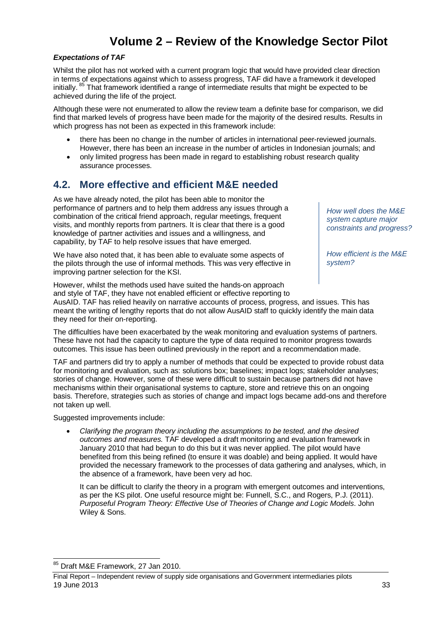### *Expectations of TAF*

Whilst the pilot has not worked with a current program logic that would have provided clear direction in terms of expectations against which to assess progress, TAF did have a framework it developed initially. <sup>[85](#page-41-1)</sup> That framework identified a range of intermediate results that might be expected to be achieved during the life of the project.

Although these were not enumerated to allow the review team a definite base for comparison, we did find that marked levels of progress have been made for the majority of the desired results. Results in which progress has not been as expected in this framework include:

- there has been no change in the number of articles in international peer-reviewed journals. However, there has been an increase in the number of articles in Indonesian journals; and
- only limited progress has been made in regard to establishing robust research quality assurance processes.

### <span id="page-41-0"></span>**4.2. More effective and efficient M&E needed**

As we have already noted, the pilot has been able to monitor the performance of partners and to help them address any issues through a combination of the critical friend approach, regular meetings, frequent visits, and monthly reports from partners. It is clear that there is a good knowledge of partner activities and issues and a willingness, and capability, by TAF to help resolve issues that have emerged.

We have also noted that, it has been able to evaluate some aspects of the pilots through the use of informal methods. This was very effective in improving partner selection for the KSI.

However, whilst the methods used have suited the hands-on approach

*How well does the M&E system capture major constraints and progress?* 

*How efficient is the M&E system?* 

and style of TAF, they have not enabled efficient or effective reporting to AusAID. TAF has relied heavily on narrative accounts of process, progress, and issues. This has meant the writing of lengthy reports that do not allow AusAID staff to quickly identify the main data they need for their on-reporting.

The difficulties have been exacerbated by the weak monitoring and evaluation systems of partners. These have not had the capacity to capture the type of data required to monitor progress towards outcomes. This issue has been outlined previously in the report and a recommendation made.

TAF and partners did try to apply a number of methods that could be expected to provide robust data for monitoring and evaluation, such as: solutions box; baselines; impact logs; stakeholder analyses; stories of change. However, some of these were difficult to sustain because partners did not have mechanisms within their organisational systems to capture, store and retrieve this on an ongoing basis. Therefore, strategies such as stories of change and impact logs became add-ons and therefore not taken up well.

Suggested improvements include:

• *Clarifying the program theory including the assumptions to be tested, and the desired outcomes and measures.* TAF developed a draft monitoring and evaluation framework in January 2010 that had begun to do this but it was never applied. The pilot would have benefited from this being refined (to ensure it was doable) and being applied. It would have provided the necessary framework to the processes of data gathering and analyses, which, in the absence of a framework, have been very ad hoc.

It can be difficult to clarify the theory in a program with emergent outcomes and interventions, as per the KS pilot. One useful resource might be: Funnell, S.C., and Rogers, P.J. (2011). *Purposeful Program Theory: Effective Use of Theories of Change and Logic Models*. John Wiley & Sons.

<span id="page-41-1"></span><sup>85</sup> Draft M&E Framework, 27 Jan 2010.

Final Report – Independent review of supply side organisations and Government intermediaries pilots 19 June 2013 33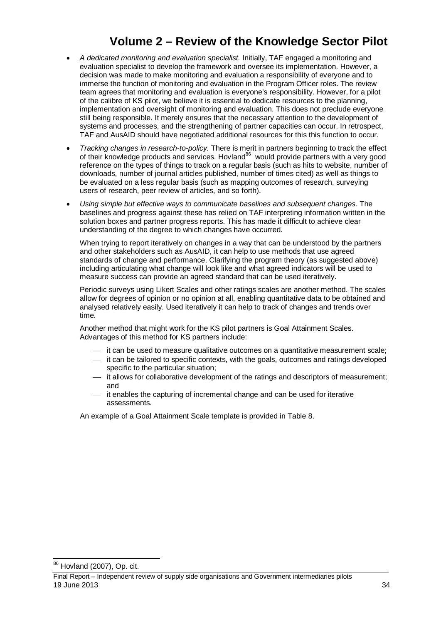- *A dedicated monitoring and evaluation specialist.* Initially, TAF engaged a monitoring and evaluation specialist to develop the framework and oversee its implementation. However, a decision was made to make monitoring and evaluation a responsibility of everyone and to immerse the function of monitoring and evaluation in the Program Officer roles. The review team agrees that monitoring and evaluation is everyone's responsibility. However, for a pilot of the calibre of KS pilot, we believe it is essential to dedicate resources to the planning, implementation and oversight of monitoring and evaluation. This does not preclude everyone still being responsible. It merely ensures that the necessary attention to the development of systems and processes, and the strengthening of partner capacities can occur. In retrospect, TAF and AusAID should have negotiated additional resources for this this function to occur.
- *Tracking changes in research-to-policy.* There is merit in partners beginning to track the effect of their knowledge products and services. Hovland<sup>86</sup> would provide partners with a very good reference on the types of things to track on a regular basis (such as hits to website, number of downloads, number of journal articles published, number of times cited) as well as things to be evaluated on a less regular basis (such as mapping outcomes of research, surveying users of research, peer review of articles, and so forth).
- *Using simple but effective ways to communicate baselines and subsequent changes.* The baselines and progress against these has relied on TAF interpreting information written in the solution boxes and partner progress reports. This has made it difficult to achieve clear understanding of the degree to which changes have occurred.

When trying to report iteratively on changes in a way that can be understood by the partners and other stakeholders such as AusAID, it can help to use methods that use agreed standards of change and performance. Clarifying the program theory (as suggested above) including articulating what change will look like and what agreed indicators will be used to measure success can provide an agreed standard that can be used iteratively.

Periodic surveys using Likert Scales and other ratings scales are another method. The scales allow for degrees of opinion or no opinion at all, enabling quantitative data to be obtained and analysed relatively easily. Used iteratively it can help to track of changes and trends over time.

Another method that might work for the KS pilot partners is Goal Attainment Scales. Advantages of this method for KS partners include:

- $\frac{1}{1}$  it can be used to measure qualitative outcomes on a quantitative measurement scale;
- $\overline{\phantom{a}}$  it can be tailored to specific contexts, with the goals, outcomes and ratings developed specific to the particular situation;
- $\frac{1}{1}$  it allows for collaborative development of the ratings and descriptors of measurement; and
- it enables the capturing of incremental change and can be used for iterative assessments.

An example of a Goal Attainment Scale template is provided in Table 8.

Final Report – Independent review of supply side organisations and Government intermediaries pilots 19 June 2013 **34** September 2013 **34** September 2013 **34** September 2013 **34** September 2013 **34** September 2013 **34** 

<span id="page-42-0"></span><sup>86</sup> Hovland (2007), Op. cit.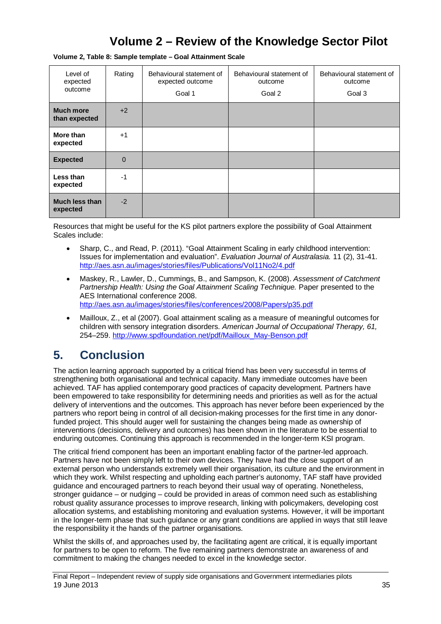#### **Volume 2, Table 8: Sample template – Goal Attainment Scale**

| Level of<br>expected<br>outcome   | Rating   | Behavioural statement of<br>expected outcome<br>Goal 1 | Behavioural statement of<br>outcome<br>Goal 2 | Behavioural statement of<br>outcome<br>Goal 3 |
|-----------------------------------|----------|--------------------------------------------------------|-----------------------------------------------|-----------------------------------------------|
| <b>Much more</b><br>than expected | $+2$     |                                                        |                                               |                                               |
| More than<br>expected             | $+1$     |                                                        |                                               |                                               |
| <b>Expected</b>                   | $\Omega$ |                                                        |                                               |                                               |
| Less than<br>expected             | $-1$     |                                                        |                                               |                                               |
| <b>Much less than</b><br>expected | $-2$     |                                                        |                                               |                                               |

Resources that might be useful for the KS pilot partners explore the possibility of Goal Attainment Scales include:

- Sharp, C., and Read, P. (2011). "Goal Attainment Scaling in early childhood intervention: Issues for implementation and evaluation". *Evaluation Journal of Australasia.* 11 (2), 31-41. <http://aes.asn.au/images/stories/files/Publications/Vol11No2/4.pdf>
- Maskey, R., Lawler, D., Cummings, B., and Sampson, K. (2008). *Assessment of Catchment*  Partnership Health: Using the Goal Attainment Scaling Technique. Paper presented to the AES International conference 2008. <http://aes.asn.au/images/stories/files/conferences/2008/Papers/p35.pdf>
- Mailloux, Z., et al (2007). Goal attainment scaling as a measure of meaningful outcomes for children with sensory integration disorders. *American Journal of Occupational Therapy, 61,*  254–259. [http://www.spdfoundation.net/pdf/Mailloux\\_May-Benson.pdf](http://www.spdfoundation.net/pdf/Mailloux_May-Benson.pdf)

### <span id="page-43-0"></span>**5. Conclusion**

The action learning approach supported by a critical friend has been very successful in terms of strengthening both organisational and technical capacity. Many immediate outcomes have been achieved. TAF has applied contemporary good practices of capacity development. Partners have been empowered to take responsibility for determining needs and priorities as well as for the actual delivery of interventions and the outcomes. This approach has never before been experienced by the partners who report being in control of all decision-making processes for the first time in any donorfunded project. This should auger well for sustaining the changes being made as ownership of interventions (decisions, delivery and outcomes) has been shown in the literature to be essential to enduring outcomes. Continuing this approach is recommended in the longer-term KSI program.

The critical friend component has been an important enabling factor of the partner-led approach. Partners have not been simply left to their own devices. They have had the close support of an external person who understands extremely well their organisation, its culture and the environment in which they work. Whilst respecting and upholding each partner's autonomy, TAF staff have provided guidance and encouraged partners to reach beyond their usual way of operating. Nonetheless, stronger guidance – or nudging – could be provided in areas of common need such as establishing robust quality assurance processes to improve research, linking with policymakers, developing cost allocation systems, and establishing monitoring and evaluation systems. However, it will be important in the longer-term phase that such guidance or any grant conditions are applied in ways that still leave the responsibility it the hands of the partner organisations.

Whilst the skills of, and approaches used by, the facilitating agent are critical, it is equally important for partners to be open to reform. The five remaining partners demonstrate an awareness of and commitment to making the changes needed to excel in the knowledge sector.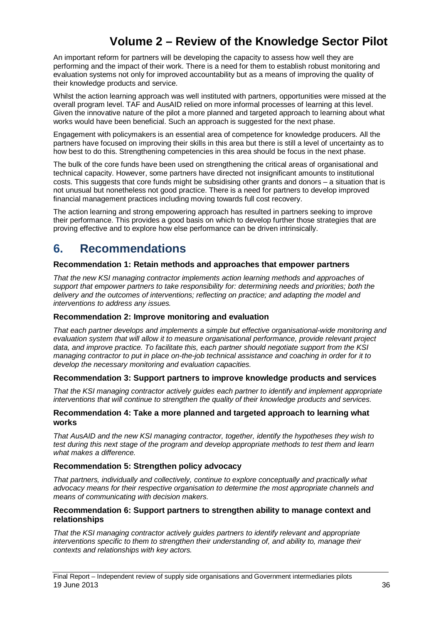An important reform for partners will be developing the capacity to assess how well they are performing and the impact of their work. There is a need for them to establish robust monitoring and evaluation systems not only for improved accountability but as a means of improving the quality of their knowledge products and service.

Whilst the action learning approach was well instituted with partners, opportunities were missed at the overall program level. TAF and AusAID relied on more informal processes of learning at this level. Given the innovative nature of the pilot a more planned and targeted approach to learning about what works would have been beneficial. Such an approach is suggested for the next phase.

Engagement with policymakers is an essential area of competence for knowledge producers. All the partners have focused on improving their skills in this area but there is still a level of uncertainty as to how best to do this. Strengthening competencies in this area should be focus in the next phase.

The bulk of the core funds have been used on strengthening the critical areas of organisational and technical capacity. However, some partners have directed not insignificant amounts to institutional costs. This suggests that core funds might be subsidising other grants and donors – a situation that is not unusual but nonetheless not good practice. There is a need for partners to develop improved financial management practices including moving towards full cost recovery.

The action learning and strong empowering approach has resulted in partners seeking to improve their performance. This provides a good basis on which to develop further those strategies that are proving effective and to explore how else performance can be driven intrinsically.

### <span id="page-44-0"></span>**6. Recommendations**

### <span id="page-44-1"></span>**Recommendation 1: Retain methods and approaches that empower partners**

*That the new KSI managing contractor implements action learning methods and approaches of support that empower partners to take responsibility for: determining needs and priorities; both the delivery and the outcomes of interventions; reflecting on practice; and adapting the model and interventions to address any issues.* 

### <span id="page-44-2"></span>**Recommendation 2: Improve monitoring and evaluation**

*That each partner develops and implements a simple but effective organisational-wide monitoring and evaluation system that will allow it to measure organisational performance, provide relevant project data, and improve practice. To facilitate this, each partner should negotiate support from the KSI managing contractor to put in place on-the-job technical assistance and coaching in order for it to develop the necessary monitoring and evaluation capacities.* 

### <span id="page-44-3"></span>**Recommendation 3: Support partners to improve knowledge products and services**

*That the KSI managing contractor actively guides each partner to identify and implement appropriate interventions that will continue to strengthen the quality of their knowledge products and services.* 

### <span id="page-44-4"></span>**Recommendation 4: Take a more planned and targeted approach to learning what works**

*That AusAID and the new KSI managing contractor, together, identify the hypotheses they wish to test during this next stage of the program and develop appropriate methods to test them and learn what makes a difference.*

### <span id="page-44-5"></span>**Recommendation 5: Strengthen policy advocacy**

*That partners, individually and collectively, continue to explore conceptually and practically what advocacy means for their respective organisation to determine the most appropriate channels and means of communicating with decision makers.* 

### <span id="page-44-6"></span>**Recommendation 6: Support partners to strengthen ability to manage context and relationships**

*That the KSI managing contractor actively guides partners to identify relevant and appropriate interventions specific to them to strengthen their understanding of, and ability to, manage their contexts and relationships with key actors.*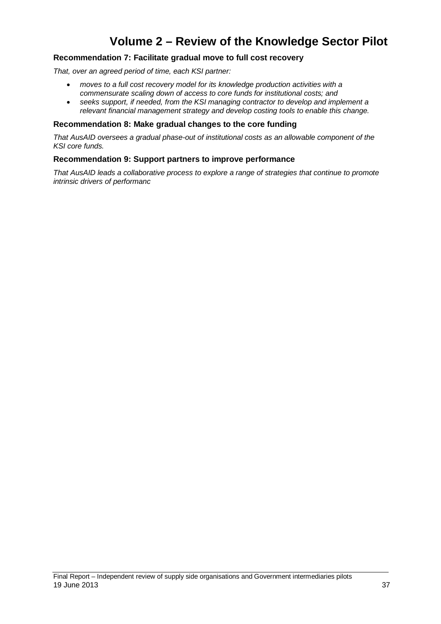### <span id="page-45-0"></span>**Recommendation 7: Facilitate gradual move to full cost recovery**

*That, over an agreed period of time, each KSI partner:*

- *moves to a full cost recovery model for its knowledge production activities with a commensurate scaling down of access to core funds for institutional costs; and*
- *seeks support, if needed, from the KSI managing contractor to develop and implement a relevant financial management strategy and develop costing tools to enable this change.*

#### <span id="page-45-1"></span>**Recommendation 8: Make gradual changes to the core funding**

*That AusAID oversees a gradual phase-out of institutional costs as an allowable component of the KSI core funds.* 

#### <span id="page-45-2"></span>**Recommendation 9: Support partners to improve performance**

*That AusAID leads a collaborative process to explore a range of strategies that continue to promote intrinsic drivers of performanc*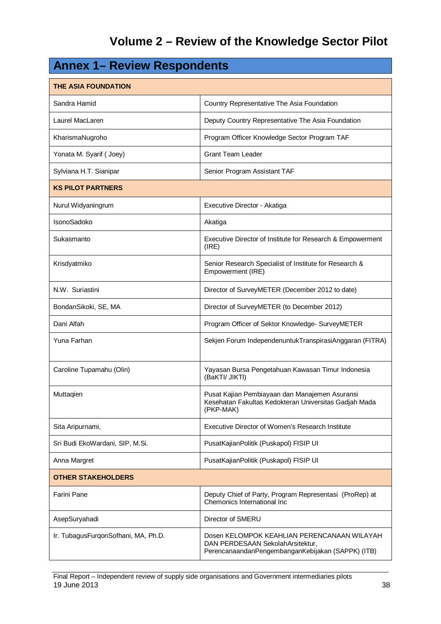<span id="page-46-0"></span>

| <b>Annex 1– Review Respondents</b>  |                                                                                                                                      |  |  |  |
|-------------------------------------|--------------------------------------------------------------------------------------------------------------------------------------|--|--|--|
| <b>THE ASIA FOUNDATION</b>          |                                                                                                                                      |  |  |  |
| Sandra Hamid                        | Country Representative The Asia Foundation                                                                                           |  |  |  |
| Laurel MacLaren                     | Deputy Country Representative The Asia Foundation                                                                                    |  |  |  |
| KharismaNugroho                     | Program Officer Knowledge Sector Program TAF                                                                                         |  |  |  |
| Yonata M. Syarif (Joey)             | <b>Grant Team Leader</b>                                                                                                             |  |  |  |
| Sylviana H.T. Sianipar              | Senior Program Assistant TAF                                                                                                         |  |  |  |
| <b>KS PILOT PARTNERS</b>            |                                                                                                                                      |  |  |  |
| Nurul Widyaningrum                  | Executive Director - Akatiga                                                                                                         |  |  |  |
| IsonoSadoko                         | Akatiga                                                                                                                              |  |  |  |
| Sukasmanto                          | Executive Director of Institute for Research & Empowerment<br>(IRE)                                                                  |  |  |  |
| Krisdyatmiko                        | Senior Research Specialist of Institute for Research &<br>Empowerment (IRE)                                                          |  |  |  |
| N.W. Suriastini                     | Director of SurveyMETER (December 2012 to date)                                                                                      |  |  |  |
| BondanSikoki, SE, MA                | Director of SurveyMETER (to December 2012)                                                                                           |  |  |  |
| Dani Alfah                          | Program Officer of Sektor Knowledge- SurveyMETER                                                                                     |  |  |  |
| Yuna Farhan                         | Sekjen Forum IndependenuntukTranspirasiAnggaran (FITRA)                                                                              |  |  |  |
| Caroline Tupamahu (Olin)            | Yayasan Bursa Pengetahuan Kawasan Timur Indonesia<br>(BaKTI/ JIKTI)                                                                  |  |  |  |
| Muttaqien                           | Pusat Kajian Pembiayaan dan Manajemen Asuransi<br>Kesehatan Fakultas Kedokteran Universitas Gadjah Mada<br>(PKP-MAK)                 |  |  |  |
| Sita Aripurnami,                    | Executive Director of Women's Research Institute                                                                                     |  |  |  |
| Sri Budi EkoWardani, SIP, M.Si.     | PusatKajianPolitik (Puskapol) FISIP UI                                                                                               |  |  |  |
| Anna Margret                        | PusatKajianPolitik (Puskapol) FISIP UI                                                                                               |  |  |  |
| <b>OTHER STAKEHOLDERS</b>           |                                                                                                                                      |  |  |  |
| <b>Farini Pane</b>                  | Deputy Chief of Party, Program Representasi (ProRep) at<br>Chemonics International Inc                                               |  |  |  |
| AsepSuryahadi                       | Director of SMERU                                                                                                                    |  |  |  |
| Ir. TubagusFurqonSofhani, MA, Ph.D. | Dosen KELOMPOK KEAHLIAN PERENCANAAN WILAYAH<br>DAN PERDESAAN SekolahArsitektur,<br>PerencanaandanPengembanganKebijakan (SAPPK) (ITB) |  |  |  |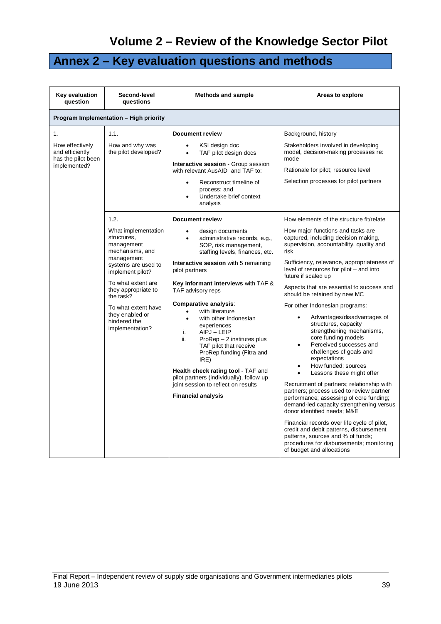## <span id="page-47-0"></span>**Annex 2 – Key evaluation questions and methods**

| Key evaluation<br>question                                                     | Second-level<br>questions                                                                                                                                                                                                                                                   | <b>Methods and sample</b>                                                                                                                                                                                                                                                                                                                                                                                                                                                                                                                                                                                                                                       | Areas to explore                                                                                                                                                                                                                                                                                                                                                                                                                                                                                                                                                                                                                                                                                                                                                                                                                                                                                                                                                                                                                                                                                             |
|--------------------------------------------------------------------------------|-----------------------------------------------------------------------------------------------------------------------------------------------------------------------------------------------------------------------------------------------------------------------------|-----------------------------------------------------------------------------------------------------------------------------------------------------------------------------------------------------------------------------------------------------------------------------------------------------------------------------------------------------------------------------------------------------------------------------------------------------------------------------------------------------------------------------------------------------------------------------------------------------------------------------------------------------------------|--------------------------------------------------------------------------------------------------------------------------------------------------------------------------------------------------------------------------------------------------------------------------------------------------------------------------------------------------------------------------------------------------------------------------------------------------------------------------------------------------------------------------------------------------------------------------------------------------------------------------------------------------------------------------------------------------------------------------------------------------------------------------------------------------------------------------------------------------------------------------------------------------------------------------------------------------------------------------------------------------------------------------------------------------------------------------------------------------------------|
|                                                                                | Program Implementation - High priority                                                                                                                                                                                                                                      |                                                                                                                                                                                                                                                                                                                                                                                                                                                                                                                                                                                                                                                                 |                                                                                                                                                                                                                                                                                                                                                                                                                                                                                                                                                                                                                                                                                                                                                                                                                                                                                                                                                                                                                                                                                                              |
| 1.<br>How effectively<br>and efficiently<br>has the pilot been<br>implemented? | 1.1.<br>How and why was<br>the pilot developed?                                                                                                                                                                                                                             | <b>Document review</b><br>KSI design doc<br>$\bullet$<br>TAF pilot design docs<br>$\bullet$<br>Interactive session - Group session<br>with relevant AusAID and TAF to:<br>Reconstruct timeline of<br>process; and<br>Undertake brief context<br>analysis                                                                                                                                                                                                                                                                                                                                                                                                        | Background, history<br>Stakeholders involved in developing<br>model, decision-making processes re:<br>mode<br>Rationale for pilot; resource level<br>Selection processes for pilot partners                                                                                                                                                                                                                                                                                                                                                                                                                                                                                                                                                                                                                                                                                                                                                                                                                                                                                                                  |
|                                                                                | 1.2.<br>What implementation<br>structures,<br>management<br>mechanisms, and<br>management<br>systems are used to<br>implement pilot?<br>To what extent are<br>they appropriate to<br>the task?<br>To what extent have<br>they enabled or<br>hindered the<br>implementation? | <b>Document review</b><br>design documents<br>٠<br>administrative records, e.g.,<br>$\bullet$<br>SOP, risk management,<br>staffing levels, finances, etc.<br>Interactive session with 5 remaining<br>pilot partners<br>Key informant interviews with TAF &<br>TAF advisory reps<br>Comparative analysis:<br>with literature<br>with other Indonesian<br>$\bullet$<br>experiences<br>AIPJ-LEIP<br>i.<br>ii.<br>$ProRep - 2$ institutes plus<br>TAF pilot that receive<br>ProRep funding (Fitra and<br>IRE)<br>Health check rating tool - TAF and<br>pilot partners (individually), follow up<br>joint session to reflect on results<br><b>Financial analysis</b> | How elements of the structure fit/relate<br>How major functions and tasks are<br>captured, including decision making,<br>supervision, accountability, quality and<br>risk<br>Sufficiency, relevance, appropriateness of<br>level of resources for pilot - and into<br>future if scaled up<br>Aspects that are essential to success and<br>should be retained by new MC<br>For other Indonesian programs:<br>Advantages/disadvantages of<br>$\bullet$<br>structures, capacity<br>strengthening mechanisms,<br>core funding models<br>Perceived successes and<br>$\bullet$<br>challenges cf goals and<br>expectations<br>How funded; sources<br>$\bullet$<br>Lessons these might offer<br>Recruitment of partners; relationship with<br>partners; process used to review partner<br>performance; assessing of core funding;<br>demand-led capacity strengthening versus<br>donor identified needs; M&E<br>Financial records over life cycle of pilot,<br>credit and debit patterns, disbursement<br>patterns, sources and % of funds;<br>procedures for disbursements; monitoring<br>of budget and allocations |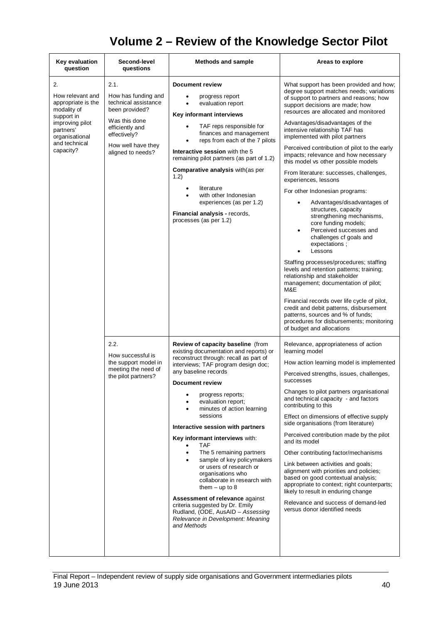| Key evaluation<br>question                                                                                                                                | Second-level<br>questions                                                                                                                                            | <b>Methods and sample</b>                                                                                                                                                                                                                                                                                                                                                                                                                                                                                                                                                                                                                                                                                                    | Areas to explore                                                                                                                                                                                                                                                                                                                                                                                                                                                                                                                                                                                                                                                                                                                                                                                                                                                                                                                                                                                                                                                                                                                                                         |
|-----------------------------------------------------------------------------------------------------------------------------------------------------------|----------------------------------------------------------------------------------------------------------------------------------------------------------------------|------------------------------------------------------------------------------------------------------------------------------------------------------------------------------------------------------------------------------------------------------------------------------------------------------------------------------------------------------------------------------------------------------------------------------------------------------------------------------------------------------------------------------------------------------------------------------------------------------------------------------------------------------------------------------------------------------------------------------|--------------------------------------------------------------------------------------------------------------------------------------------------------------------------------------------------------------------------------------------------------------------------------------------------------------------------------------------------------------------------------------------------------------------------------------------------------------------------------------------------------------------------------------------------------------------------------------------------------------------------------------------------------------------------------------------------------------------------------------------------------------------------------------------------------------------------------------------------------------------------------------------------------------------------------------------------------------------------------------------------------------------------------------------------------------------------------------------------------------------------------------------------------------------------|
| 2.<br>How relevant and<br>appropriate is the<br>modality of<br>support in<br>improving pilot<br>partners'<br>organisational<br>and technical<br>capacity? | 2.1.<br>How has funding and<br>technical assistance<br>been provided?<br>Was this done<br>efficiently and<br>effectively?<br>How well have they<br>aligned to needs? | Document review<br>progress report<br>evaluation report<br>Key informant interviews<br>TAF reps responsible for<br>finances and management<br>reps from each of the 7 pilots<br>Interactive session with the 5<br>remaining pilot partners (as part of 1.2)<br><b>Comparative analysis with (as per</b><br>(1.2)<br>literature<br>with other Indonesian<br>experiences (as per 1.2)<br>Financial analysis - records,<br>processes (as per 1.2)                                                                                                                                                                                                                                                                               | What support has been provided and how;<br>degree support matches needs; variations<br>of support to partners and reasons; how<br>support decisions are made; how<br>resources are allocated and monitored<br>Advantages/disadvantages of the<br>intensive relationship TAF has<br>implemented with pilot partners<br>Perceived contribution of pilot to the early<br>impacts; relevance and how necessary<br>this model vs other possible models<br>From literature: successes, challenges,<br>experiences, lessons<br>For other Indonesian programs:<br>Advantages/disadvantages of<br>$\bullet$<br>structures, capacity<br>strengthening mechanisms,<br>core funding models;<br>Perceived successes and<br>$\bullet$<br>challenges cf goals and<br>expectations;<br>Lessons<br>$\bullet$<br>Staffing processes/procedures; staffing<br>levels and retention patterns; training;<br>relationship and stakeholder<br>management; documentation of pilot;<br>M&E<br>Financial records over life cycle of pilot,<br>credit and debit patterns, disbursement<br>patterns, sources and % of funds;<br>procedures for disbursements; monitoring<br>of budget and allocations |
|                                                                                                                                                           | 2.2.<br>How successful is<br>the support model in<br>meeting the need of<br>the pilot partners?                                                                      | Review of capacity baseline (from<br>existing documentation and reports) or<br>reconstruct through: recall as part of<br>interviews; TAF program design doc;<br>any baseline records<br><b>Document review</b><br>progress reports;<br>evaluation report;<br>minutes of action learning<br>sessions<br>Interactive session with partners<br>Key informant interviews with:<br><b>TAF</b><br>The 5 remaining partners<br>sample of key policymakers<br>or users of research or<br>organisations who<br>collaborate in research with<br>them $-$ up to 8<br><b>Assessment of relevance against</b><br>criteria suggested by Dr. Emily<br>Rudland, (ODE, AusAID - Assessing<br>Relevance in Development: Meaning<br>and Methods | Relevance, appropriateness of action<br>learning model<br>How action learning model is implemented<br>Perceived strengths, issues, challenges,<br>successes<br>Changes to pilot partners organisational<br>and technical capacity - and factors<br>contributing to this<br>Effect on dimensions of effective supply<br>side organisations (from literature)<br>Perceived contribution made by the pilot<br>and its model<br>Other contributing factor/mechanisms<br>Link between activities and goals;<br>alignment with priorities and policies;<br>based on good contextual analysis;<br>appropriate to context; right counterparts;<br>likely to result in enduring change<br>Relevance and success of demand-led<br>versus donor identified needs                                                                                                                                                                                                                                                                                                                                                                                                                    |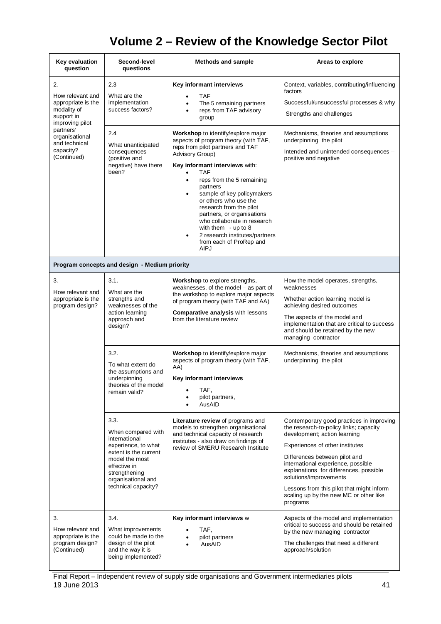| Key evaluation<br>question                                                                                                                                               | Second-level<br>questions                                                                                                                                                                   | <b>Methods and sample</b>                                                                                                                                                                                                                                                                                                                                                                                                                                                                                                  | Areas to explore                                                                                                                                                                                                                                                                                                                                                                                    |
|--------------------------------------------------------------------------------------------------------------------------------------------------------------------------|---------------------------------------------------------------------------------------------------------------------------------------------------------------------------------------------|----------------------------------------------------------------------------------------------------------------------------------------------------------------------------------------------------------------------------------------------------------------------------------------------------------------------------------------------------------------------------------------------------------------------------------------------------------------------------------------------------------------------------|-----------------------------------------------------------------------------------------------------------------------------------------------------------------------------------------------------------------------------------------------------------------------------------------------------------------------------------------------------------------------------------------------------|
| 2.<br>How relevant and<br>appropriate is the<br>modality of<br>support in<br>improving pilot<br>partners'<br>organisational<br>and technical<br>capacity?<br>(Continued) | 2.3<br>What are the<br>implementation<br>success factors?                                                                                                                                   | Key informant interviews<br><b>TAF</b><br>$\bullet$<br>The 5 remaining partners<br>reps from TAF advisory<br>$\bullet$<br>group                                                                                                                                                                                                                                                                                                                                                                                            | Context, variables, contributing/influencing<br>factors<br>Successful/unsuccessful processes & why<br>Strengths and challenges                                                                                                                                                                                                                                                                      |
|                                                                                                                                                                          | 2.4<br>What unanticipated<br>consequences<br>(positive and<br>negative) have there<br>been?                                                                                                 | Workshop to identify/explore major<br>aspects of program theory (with TAF,<br>reps from pilot partners and TAF<br>Advisory Group)<br>Key informant interviews with:<br><b>TAF</b><br>$\bullet$<br>reps from the 5 remaining<br>$\bullet$<br>partners<br>sample of key policymakers<br>٠<br>or others who use the<br>research from the pilot<br>partners, or organisations<br>who collaborate in research<br>with them $-$ up to 8<br>2 research institutes/partners<br>$\bullet$<br>from each of ProRep and<br><b>AIPJ</b> | Mechanisms, theories and assumptions<br>underpinning the pilot<br>Intended and unintended consequences -<br>positive and negative                                                                                                                                                                                                                                                                   |
|                                                                                                                                                                          | Program concepts and design - Medium priority                                                                                                                                               |                                                                                                                                                                                                                                                                                                                                                                                                                                                                                                                            |                                                                                                                                                                                                                                                                                                                                                                                                     |
| 3.<br>How relevant and<br>appropriate is the<br>program design?                                                                                                          | 3.1.<br>What are the<br>strengths and<br>weaknesses of the<br>action learning<br>approach and<br>design?                                                                                    | <b>Workshop</b> to explore strengths,<br>weaknesses, of the model - as part of<br>the workshop to explore major aspects<br>of program theory (with TAF and AA)<br>Comparative analysis with lessons<br>from the literature review                                                                                                                                                                                                                                                                                          | How the model operates, strengths,<br>weaknesses<br>Whether action learning model is<br>achieving desired outcomes<br>The aspects of the model and<br>implementation that are critical to success<br>and should be retained by the new<br>managing contractor                                                                                                                                       |
|                                                                                                                                                                          | 3.2.<br>To what extent do<br>the assumptions and<br>underpinning<br>theories of the model<br>remain valid?                                                                                  | Workshop to identify/explore major<br>aspects of program theory (with TAF,<br>AA)<br>Key informant interviews<br>TAF,<br>pilot partners,<br>AusAID                                                                                                                                                                                                                                                                                                                                                                         | Mechanisms, theories and assumptions<br>underpinning the pilot                                                                                                                                                                                                                                                                                                                                      |
|                                                                                                                                                                          | 3.3.<br>When compared with<br>international<br>experience, to what<br>extent is the current<br>model the most<br>effective in<br>strengthening<br>organisational and<br>technical capacity? | Literature review of programs and<br>models to strengthen organisational<br>and technical capacity of research<br>institutes - also draw on findings of<br>review of SMERU Research Institute                                                                                                                                                                                                                                                                                                                              | Contemporary good practices in improving<br>the research-to-policy links; capacity<br>development; action learning<br>Experiences of other institutes<br>Differences between pilot and<br>international experience, possible<br>explanations for differences, possible<br>solutions/improvements<br>Lessons from this pilot that might inform<br>scaling up by the new MC or other like<br>programs |
| 3.<br>How relevant and<br>appropriate is the<br>program design?<br>(Continued)                                                                                           | 3.4.<br>What improvements<br>could be made to the<br>design of the pilot<br>and the way it is<br>being implemented?                                                                         | Key informant interviews w<br>TAF,<br>pilot partners<br>AusAID                                                                                                                                                                                                                                                                                                                                                                                                                                                             | Aspects of the model and implementation<br>critical to success and should be retained<br>by the new managing contractor<br>The challenges that need a different<br>approach/solution                                                                                                                                                                                                                |